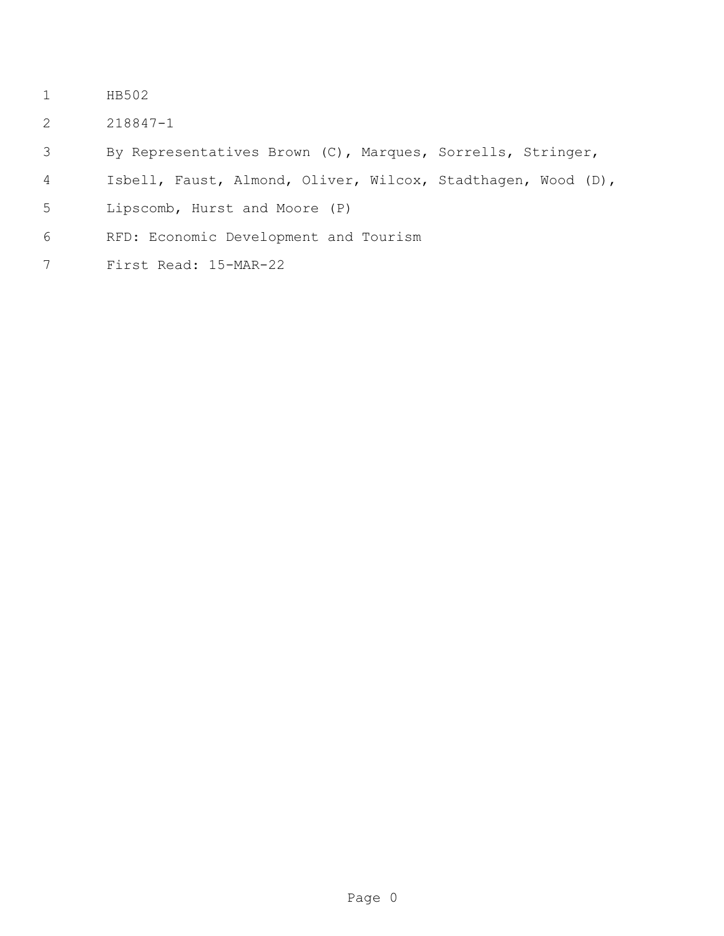- HB502
- 218847-1
- By Representatives Brown (C), Marques, Sorrells, Stringer,
- Isbell, Faust, Almond, Oliver, Wilcox, Stadthagen, Wood (D),
- Lipscomb, Hurst and Moore (P)
- RFD: Economic Development and Tourism
- First Read: 15-MAR-22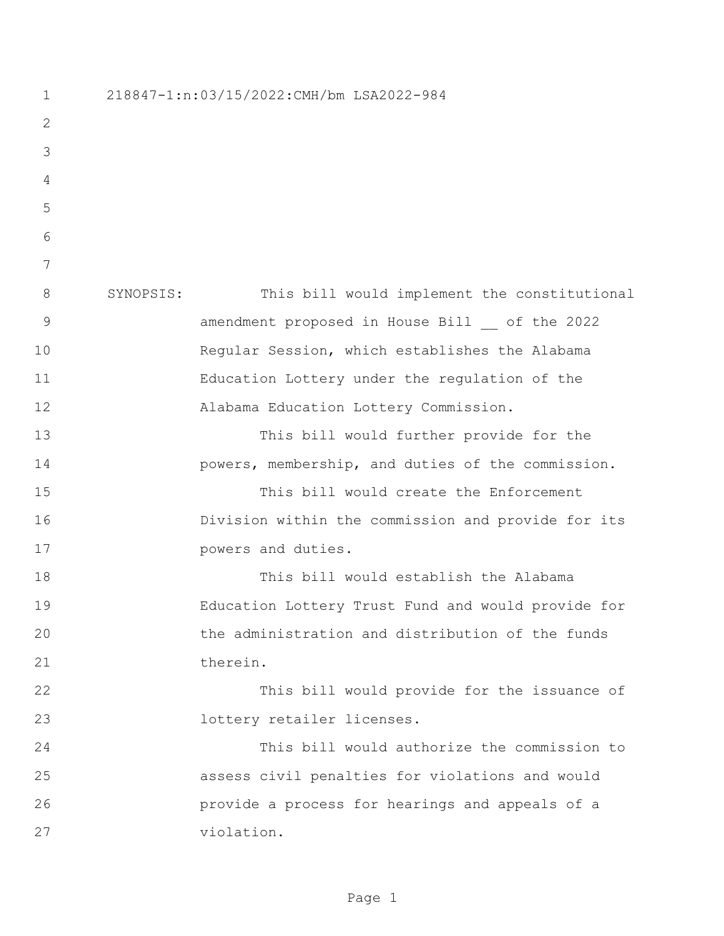218847-1:n:03/15/2022:CMH/bm LSA2022-984 SYNOPSIS: This bill would implement the constitutional amendment proposed in House Bill \_\_ of the 2022 Regular Session, which establishes the Alabama Education Lottery under the regulation of the Alabama Education Lottery Commission. This bill would further provide for the powers, membership, and duties of the commission. This bill would create the Enforcement Division within the commission and provide for its **powers** and duties. This bill would establish the Alabama Education Lottery Trust Fund and would provide for the administration and distribution of the funds 21 therein. This bill would provide for the issuance of lottery retailer licenses. This bill would authorize the commission to assess civil penalties for violations and would provide a process for hearings and appeals of a violation.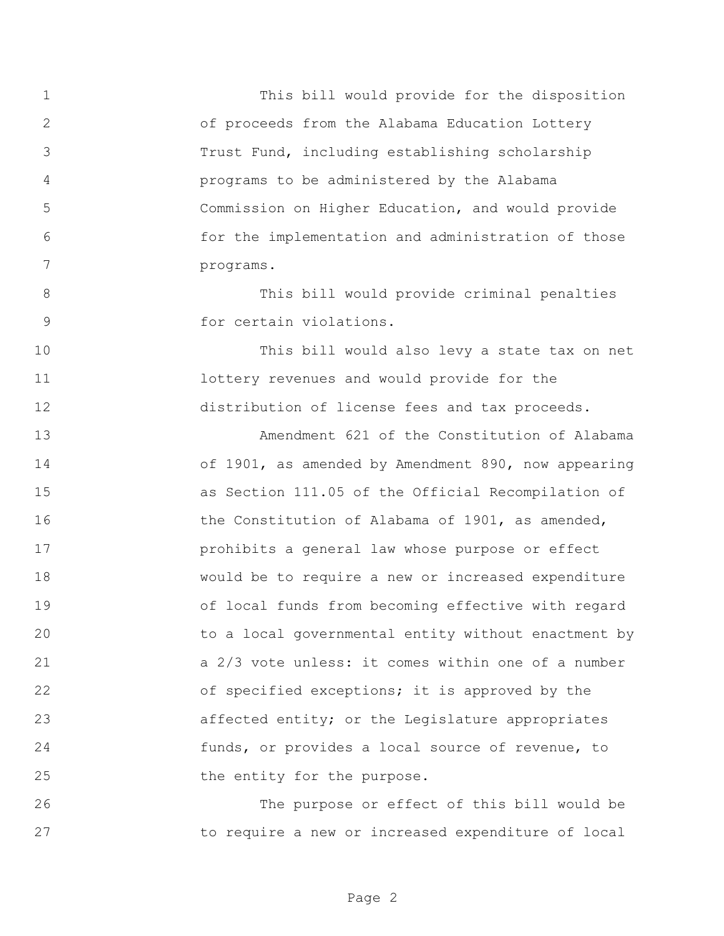This bill would provide for the disposition of proceeds from the Alabama Education Lottery Trust Fund, including establishing scholarship programs to be administered by the Alabama Commission on Higher Education, and would provide for the implementation and administration of those programs.

 This bill would provide criminal penalties for certain violations.

 This bill would also levy a state tax on net **1** lottery revenues and would provide for the distribution of license fees and tax proceeds.

 Amendment 621 of the Constitution of Alabama of 1901, as amended by Amendment 890, now appearing as Section 111.05 of the Official Recompilation of 16 the Constitution of Alabama of 1901, as amended, prohibits a general law whose purpose or effect would be to require a new or increased expenditure of local funds from becoming effective with regard to a local governmental entity without enactment by a 2/3 vote unless: it comes within one of a number 22 of specified exceptions; it is approved by the affected entity; or the Legislature appropriates funds, or provides a local source of revenue, to 25 the entity for the purpose.

 The purpose or effect of this bill would be to require a new or increased expenditure of local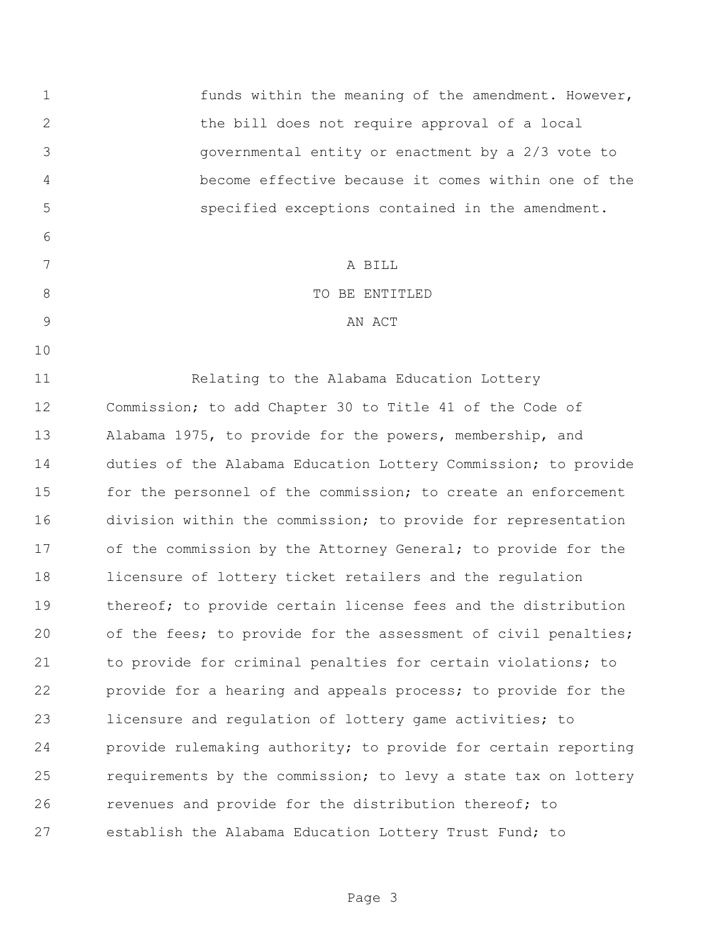funds within the meaning of the amendment. However, the bill does not require approval of a local governmental entity or enactment by a 2/3 vote to become effective because it comes within one of the specified exceptions contained in the amendment. A BILL 8 STRIP TO BE ENTITLED 9 AN ACT Relating to the Alabama Education Lottery Commission; to add Chapter 30 to Title 41 of the Code of Alabama 1975, to provide for the powers, membership, and duties of the Alabama Education Lottery Commission; to provide 15 for the personnel of the commission; to create an enforcement division within the commission; to provide for representation of the commission by the Attorney General; to provide for the licensure of lottery ticket retailers and the regulation 19 thereof; to provide certain license fees and the distribution of the fees; to provide for the assessment of civil penalties; to provide for criminal penalties for certain violations; to provide for a hearing and appeals process; to provide for the licensure and regulation of lottery game activities; to provide rulemaking authority; to provide for certain reporting requirements by the commission; to levy a state tax on lottery revenues and provide for the distribution thereof; to establish the Alabama Education Lottery Trust Fund; to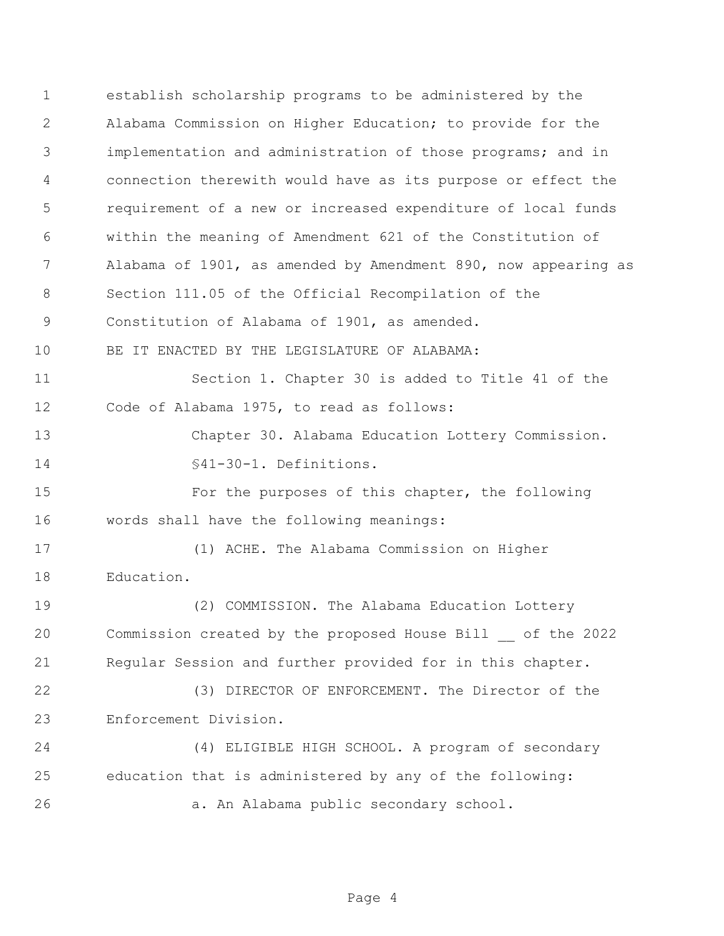establish scholarship programs to be administered by the Alabama Commission on Higher Education; to provide for the implementation and administration of those programs; and in connection therewith would have as its purpose or effect the requirement of a new or increased expenditure of local funds within the meaning of Amendment 621 of the Constitution of Alabama of 1901, as amended by Amendment 890, now appearing as Section 111.05 of the Official Recompilation of the Constitution of Alabama of 1901, as amended. BE IT ENACTED BY THE LEGISLATURE OF ALABAMA: Section 1. Chapter 30 is added to Title 41 of the Code of Alabama 1975, to read as follows: Chapter 30. Alabama Education Lottery Commission. §41-30-1. Definitions. For the purposes of this chapter, the following words shall have the following meanings: (1) ACHE. The Alabama Commission on Higher Education. (2) COMMISSION. The Alabama Education Lottery Commission created by the proposed House Bill \_\_ of the 2022 Regular Session and further provided for in this chapter. (3) DIRECTOR OF ENFORCEMENT. The Director of the Enforcement Division. (4) ELIGIBLE HIGH SCHOOL. A program of secondary education that is administered by any of the following: a. An Alabama public secondary school.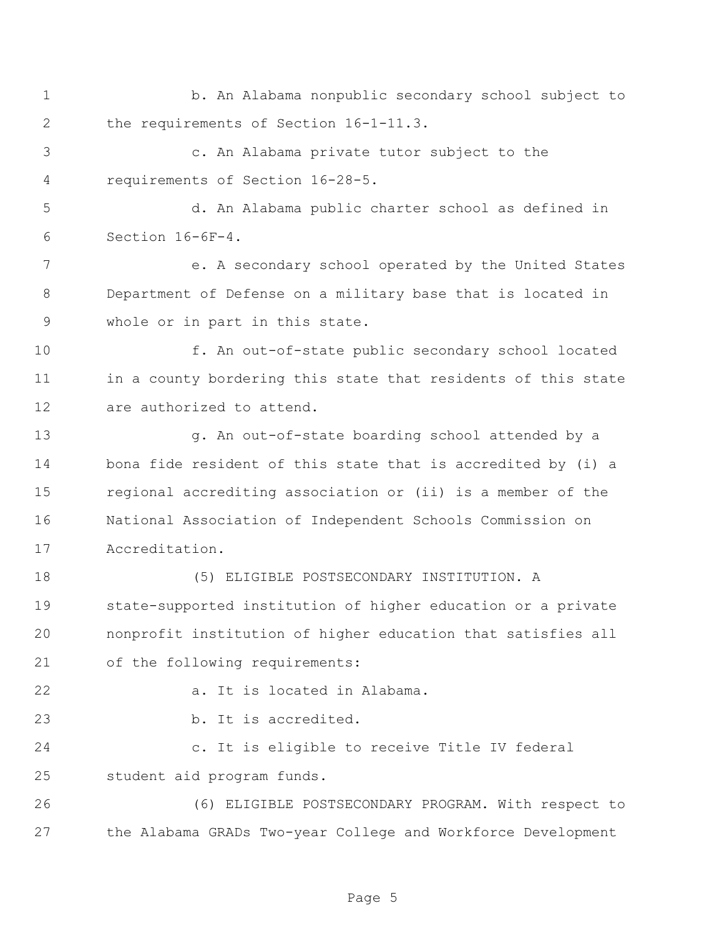- 1 b. An Alabama nonpublic secondary school subject to the requirements of Section 16-1-11.3.
- c. An Alabama private tutor subject to the requirements of Section 16-28-5.

 d. An Alabama public charter school as defined in Section 16-6F-4.

 e. A secondary school operated by the United States Department of Defense on a military base that is located in whole or in part in this state.

 f. An out-of-state public secondary school located 11 in a county bordering this state that residents of this state are authorized to attend.

 g. An out-of-state boarding school attended by a bona fide resident of this state that is accredited by (i) a regional accrediting association or (ii) is a member of the National Association of Independent Schools Commission on Accreditation.

 (5) ELIGIBLE POSTSECONDARY INSTITUTION. A state-supported institution of higher education or a private nonprofit institution of higher education that satisfies all of the following requirements:

a. It is located in Alabama.

23 b. It is accredited.

 c. It is eligible to receive Title IV federal student aid program funds.

 (6) ELIGIBLE POSTSECONDARY PROGRAM. With respect to the Alabama GRADs Two-year College and Workforce Development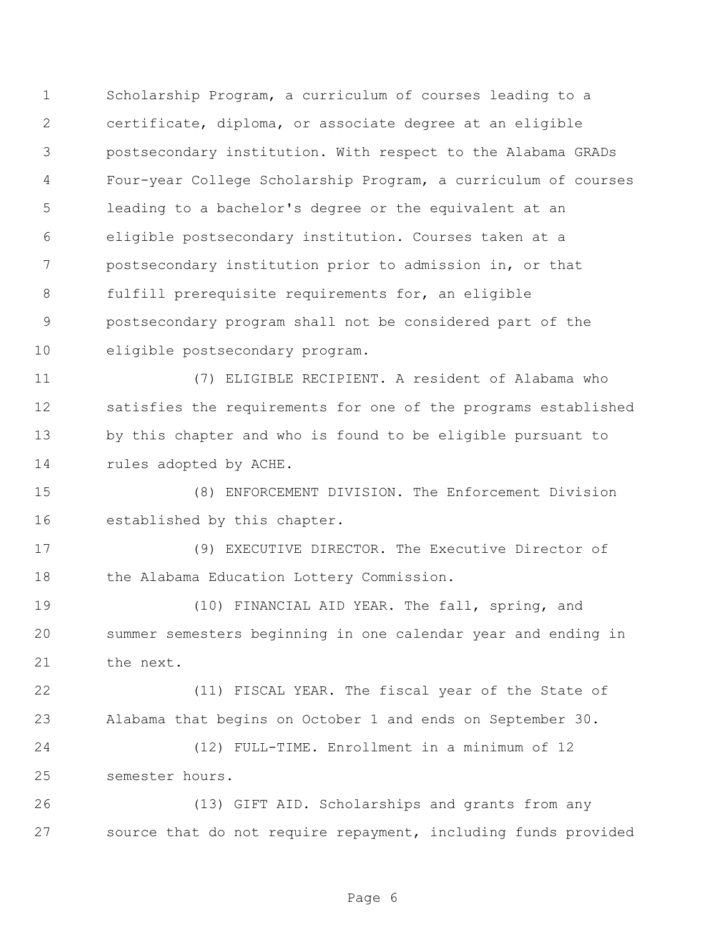Scholarship Program, a curriculum of courses leading to a certificate, diploma, or associate degree at an eligible postsecondary institution. With respect to the Alabama GRADs Four-year College Scholarship Program, a curriculum of courses leading to a bachelor's degree or the equivalent at an eligible postsecondary institution. Courses taken at a postsecondary institution prior to admission in, or that fulfill prerequisite requirements for, an eligible postsecondary program shall not be considered part of the eligible postsecondary program.

 (7) ELIGIBLE RECIPIENT. A resident of Alabama who satisfies the requirements for one of the programs established by this chapter and who is found to be eligible pursuant to 14 rules adopted by ACHE.

 (8) ENFORCEMENT DIVISION. The Enforcement Division established by this chapter.

 (9) EXECUTIVE DIRECTOR. The Executive Director of 18 the Alabama Education Lottery Commission.

 (10) FINANCIAL AID YEAR. The fall, spring, and summer semesters beginning in one calendar year and ending in the next.

 (11) FISCAL YEAR. The fiscal year of the State of Alabama that begins on October 1 and ends on September 30.

 (12) FULL-TIME. Enrollment in a minimum of 12 semester hours.

 (13) GIFT AID. Scholarships and grants from any source that do not require repayment, including funds provided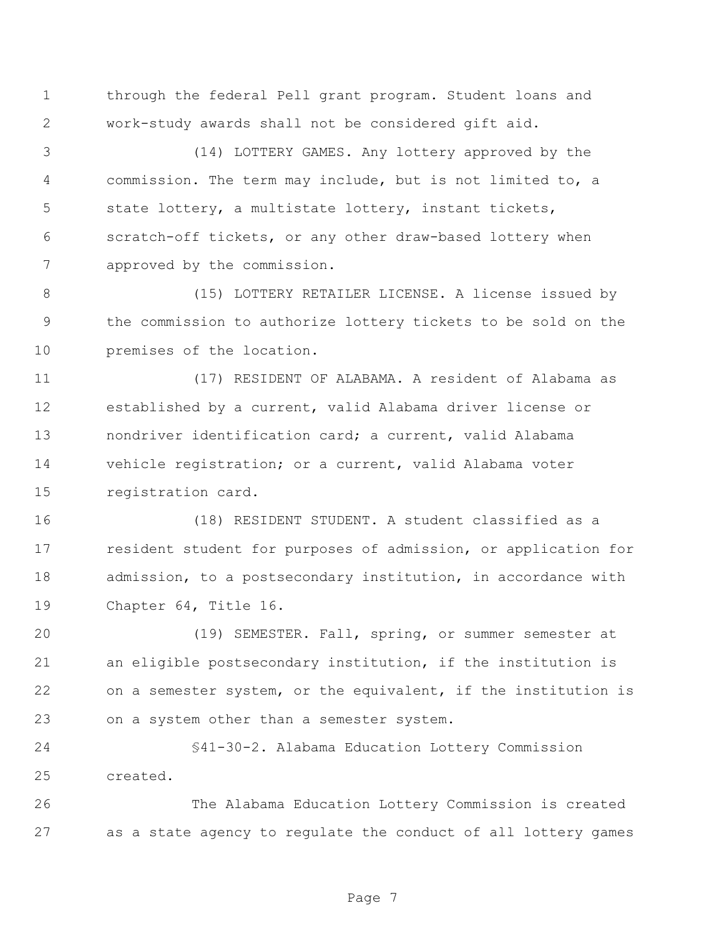through the federal Pell grant program. Student loans and work-study awards shall not be considered gift aid.

 (14) LOTTERY GAMES. Any lottery approved by the commission. The term may include, but is not limited to, a state lottery, a multistate lottery, instant tickets, scratch-off tickets, or any other draw-based lottery when approved by the commission.

 (15) LOTTERY RETAILER LICENSE. A license issued by the commission to authorize lottery tickets to be sold on the premises of the location.

 (17) RESIDENT OF ALABAMA. A resident of Alabama as established by a current, valid Alabama driver license or nondriver identification card; a current, valid Alabama vehicle registration; or a current, valid Alabama voter registration card.

 (18) RESIDENT STUDENT. A student classified as a resident student for purposes of admission, or application for admission, to a postsecondary institution, in accordance with Chapter 64, Title 16.

 (19) SEMESTER. Fall, spring, or summer semester at an eligible postsecondary institution, if the institution is on a semester system, or the equivalent, if the institution is on a system other than a semester system.

 §41-30-2. Alabama Education Lottery Commission created.

 The Alabama Education Lottery Commission is created as a state agency to regulate the conduct of all lottery games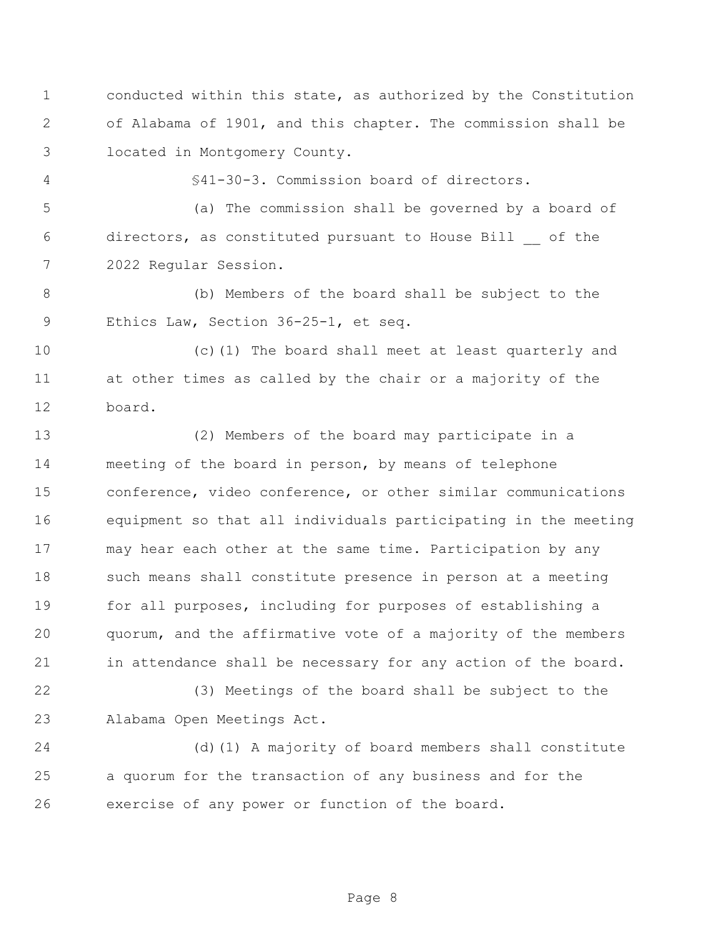conducted within this state, as authorized by the Constitution of Alabama of 1901, and this chapter. The commission shall be located in Montgomery County.

§41-30-3. Commission board of directors.

 (a) The commission shall be governed by a board of directors, as constituted pursuant to House Bill \_\_ of the 2022 Regular Session.

 (b) Members of the board shall be subject to the Ethics Law, Section 36-25-1, et seq.

 (c)(1) The board shall meet at least quarterly and at other times as called by the chair or a majority of the board.

 (2) Members of the board may participate in a meeting of the board in person, by means of telephone conference, video conference, or other similar communications equipment so that all individuals participating in the meeting may hear each other at the same time. Participation by any 18 such means shall constitute presence in person at a meeting for all purposes, including for purposes of establishing a quorum, and the affirmative vote of a majority of the members 21 in attendance shall be necessary for any action of the board.

 (3) Meetings of the board shall be subject to the Alabama Open Meetings Act.

 (d)(1) A majority of board members shall constitute a quorum for the transaction of any business and for the exercise of any power or function of the board.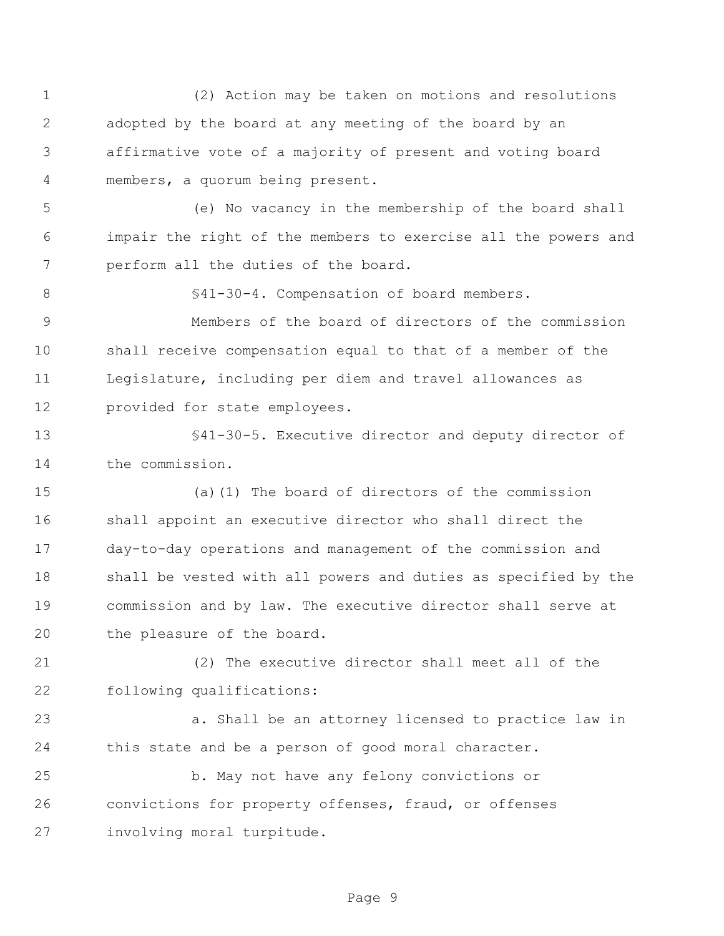(2) Action may be taken on motions and resolutions adopted by the board at any meeting of the board by an affirmative vote of a majority of present and voting board members, a quorum being present.

 (e) No vacancy in the membership of the board shall impair the right of the members to exercise all the powers and perform all the duties of the board.

§41-30-4. Compensation of board members.

 Members of the board of directors of the commission shall receive compensation equal to that of a member of the Legislature, including per diem and travel allowances as provided for state employees.

 §41-30-5. Executive director and deputy director of the commission.

 (a)(1) The board of directors of the commission shall appoint an executive director who shall direct the day-to-day operations and management of the commission and shall be vested with all powers and duties as specified by the commission and by law. The executive director shall serve at the pleasure of the board.

 (2) The executive director shall meet all of the following qualifications:

 a. Shall be an attorney licensed to practice law in this state and be a person of good moral character.

 b. May not have any felony convictions or convictions for property offenses, fraud, or offenses involving moral turpitude.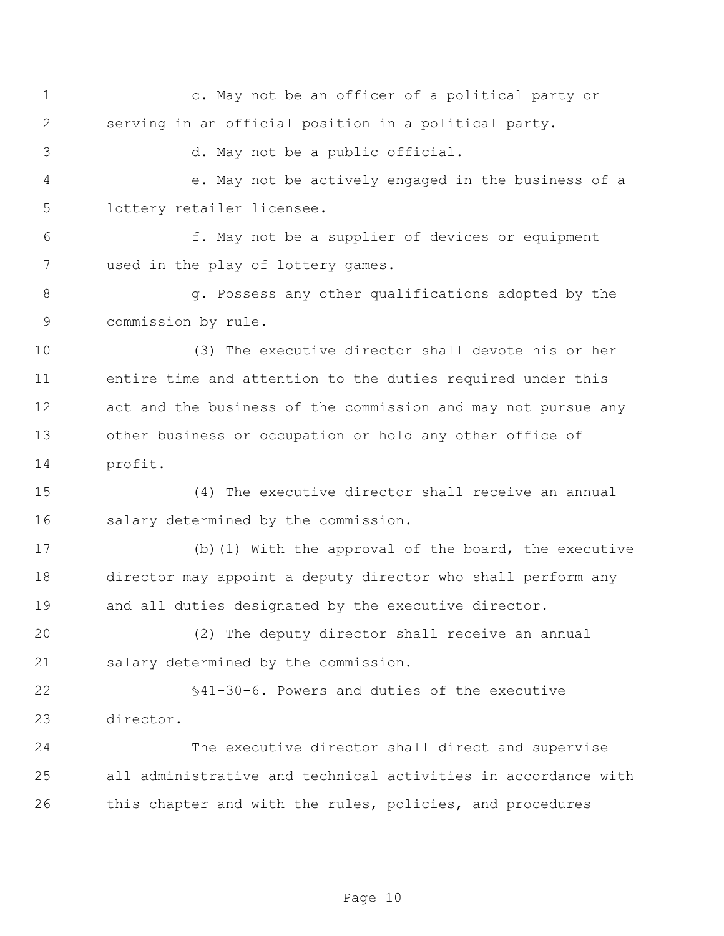c. May not be an officer of a political party or serving in an official position in a political party.

d. May not be a public official.

 e. May not be actively engaged in the business of a lottery retailer licensee.

 f. May not be a supplier of devices or equipment used in the play of lottery games.

8 and Supersess any other qualifications adopted by the commission by rule.

 (3) The executive director shall devote his or her entire time and attention to the duties required under this act and the business of the commission and may not pursue any other business or occupation or hold any other office of profit.

 (4) The executive director shall receive an annual salary determined by the commission.

 (b)(1) With the approval of the board, the executive director may appoint a deputy director who shall perform any and all duties designated by the executive director.

 (2) The deputy director shall receive an annual salary determined by the commission.

 §41-30-6. Powers and duties of the executive director.

 The executive director shall direct and supervise all administrative and technical activities in accordance with this chapter and with the rules, policies, and procedures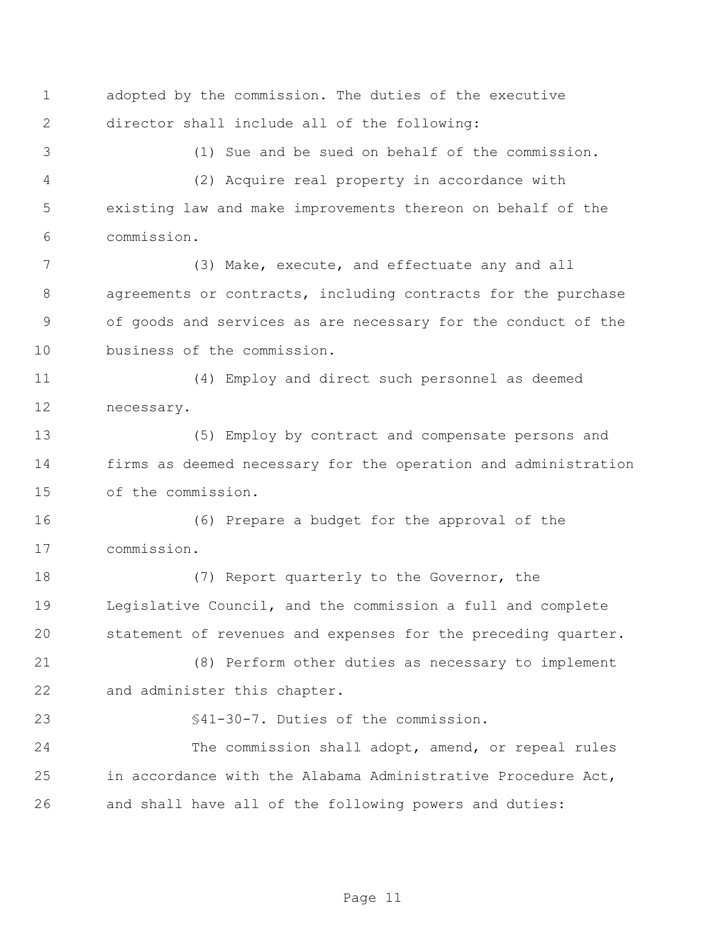adopted by the commission. The duties of the executive director shall include all of the following:

(1) Sue and be sued on behalf of the commission.

 (2) Acquire real property in accordance with existing law and make improvements thereon on behalf of the commission.

 (3) Make, execute, and effectuate any and all agreements or contracts, including contracts for the purchase of goods and services as are necessary for the conduct of the business of the commission.

 (4) Employ and direct such personnel as deemed necessary.

 (5) Employ by contract and compensate persons and firms as deemed necessary for the operation and administration of the commission.

 (6) Prepare a budget for the approval of the commission.

18 (7) Report quarterly to the Governor, the Legislative Council, and the commission a full and complete statement of revenues and expenses for the preceding quarter.

 (8) Perform other duties as necessary to implement and administer this chapter.

§41-30-7. Duties of the commission.

 The commission shall adopt, amend, or repeal rules in accordance with the Alabama Administrative Procedure Act, and shall have all of the following powers and duties: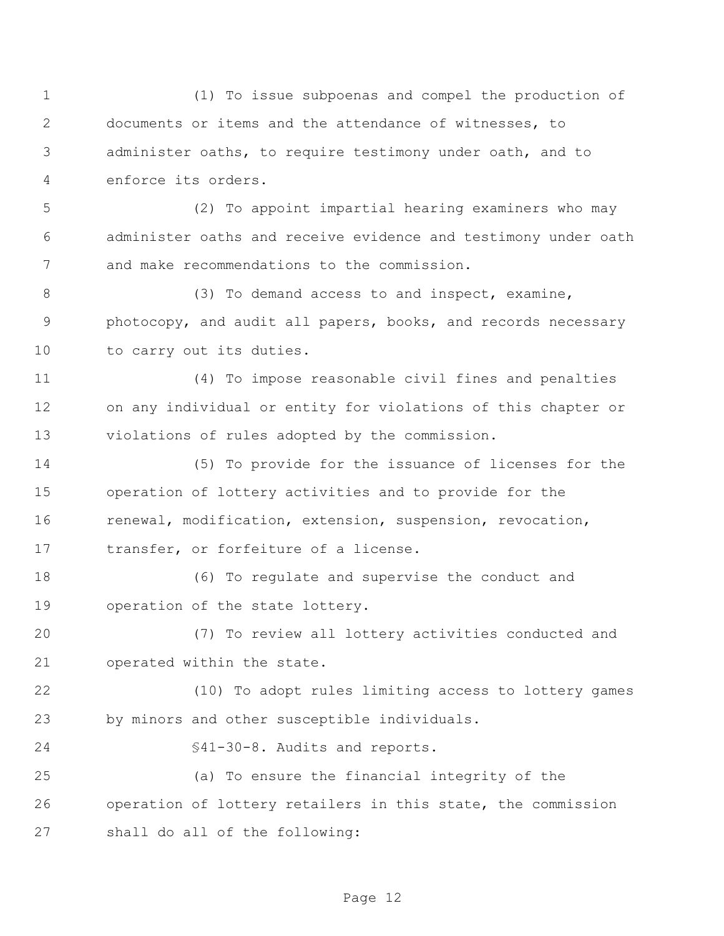(1) To issue subpoenas and compel the production of documents or items and the attendance of witnesses, to administer oaths, to require testimony under oath, and to enforce its orders. (2) To appoint impartial hearing examiners who may administer oaths and receive evidence and testimony under oath and make recommendations to the commission. 8 (3) To demand access to and inspect, examine, photocopy, and audit all papers, books, and records necessary 10 to carry out its duties. (4) To impose reasonable civil fines and penalties on any individual or entity for violations of this chapter or violations of rules adopted by the commission. (5) To provide for the issuance of licenses for the operation of lottery activities and to provide for the renewal, modification, extension, suspension, revocation, transfer, or forfeiture of a license. (6) To regulate and supervise the conduct and operation of the state lottery. (7) To review all lottery activities conducted and operated within the state. (10) To adopt rules limiting access to lottery games by minors and other susceptible individuals. §41-30-8. Audits and reports. (a) To ensure the financial integrity of the operation of lottery retailers in this state, the commission shall do all of the following: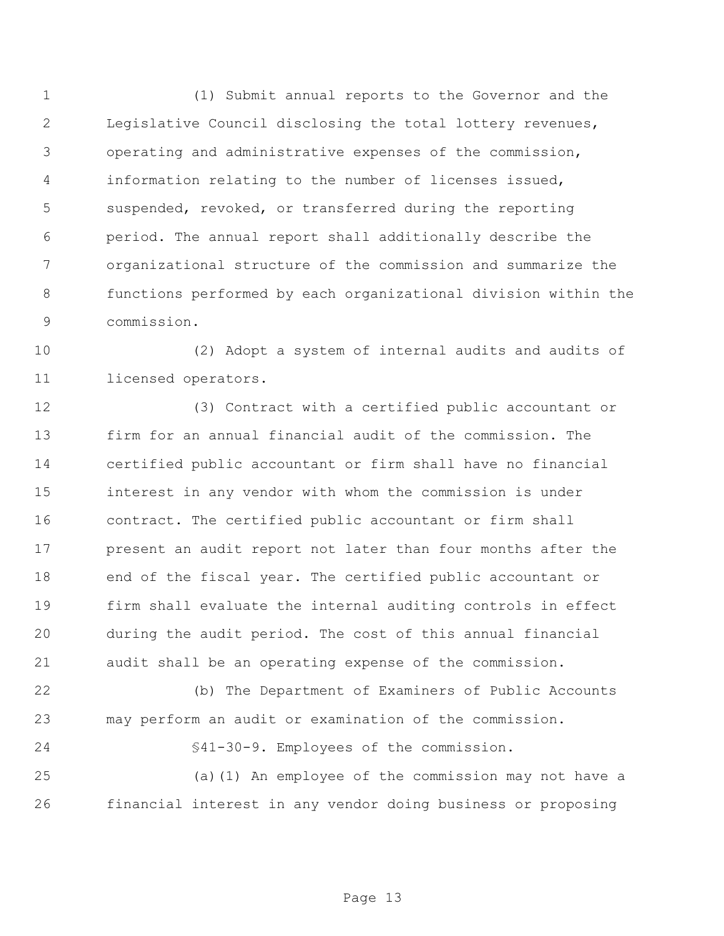(1) Submit annual reports to the Governor and the Legislative Council disclosing the total lottery revenues, operating and administrative expenses of the commission, information relating to the number of licenses issued, suspended, revoked, or transferred during the reporting period. The annual report shall additionally describe the organizational structure of the commission and summarize the functions performed by each organizational division within the commission.

 (2) Adopt a system of internal audits and audits of licensed operators.

 (3) Contract with a certified public accountant or firm for an annual financial audit of the commission. The certified public accountant or firm shall have no financial interest in any vendor with whom the commission is under contract. The certified public accountant or firm shall present an audit report not later than four months after the end of the fiscal year. The certified public accountant or firm shall evaluate the internal auditing controls in effect during the audit period. The cost of this annual financial audit shall be an operating expense of the commission.

 (b) The Department of Examiners of Public Accounts may perform an audit or examination of the commission.

§41-30-9. Employees of the commission.

 (a)(1) An employee of the commission may not have a financial interest in any vendor doing business or proposing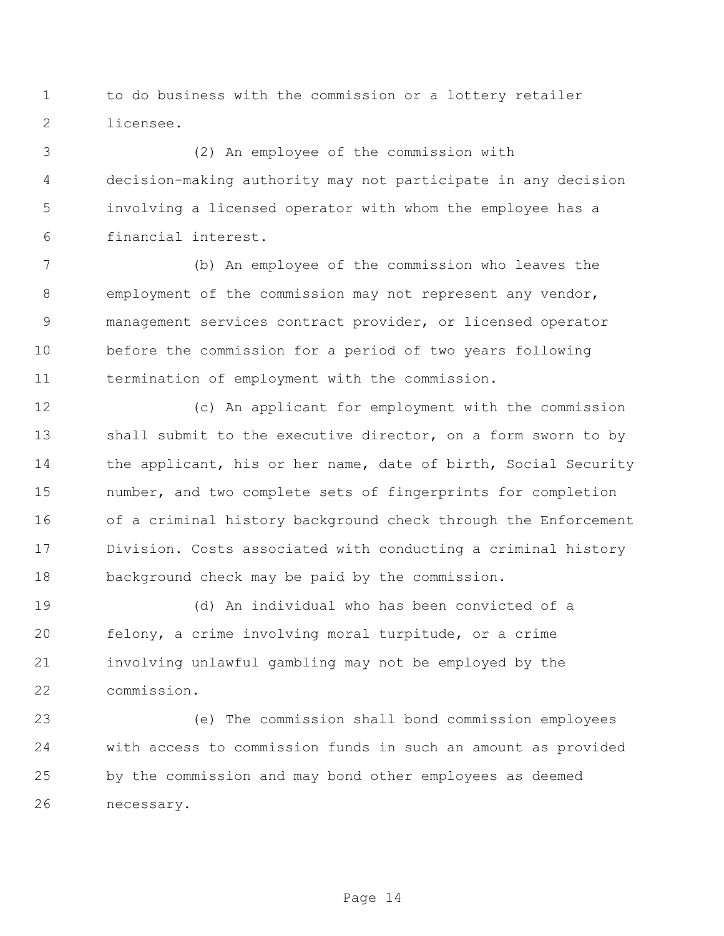to do business with the commission or a lottery retailer licensee.

 (2) An employee of the commission with decision-making authority may not participate in any decision involving a licensed operator with whom the employee has a financial interest.

 (b) An employee of the commission who leaves the employment of the commission may not represent any vendor, management services contract provider, or licensed operator before the commission for a period of two years following termination of employment with the commission.

 (c) An applicant for employment with the commission 13 shall submit to the executive director, on a form sworn to by 14 the applicant, his or her name, date of birth, Social Security number, and two complete sets of fingerprints for completion of a criminal history background check through the Enforcement Division. Costs associated with conducting a criminal history background check may be paid by the commission.

 (d) An individual who has been convicted of a felony, a crime involving moral turpitude, or a crime involving unlawful gambling may not be employed by the commission.

 (e) The commission shall bond commission employees with access to commission funds in such an amount as provided by the commission and may bond other employees as deemed necessary.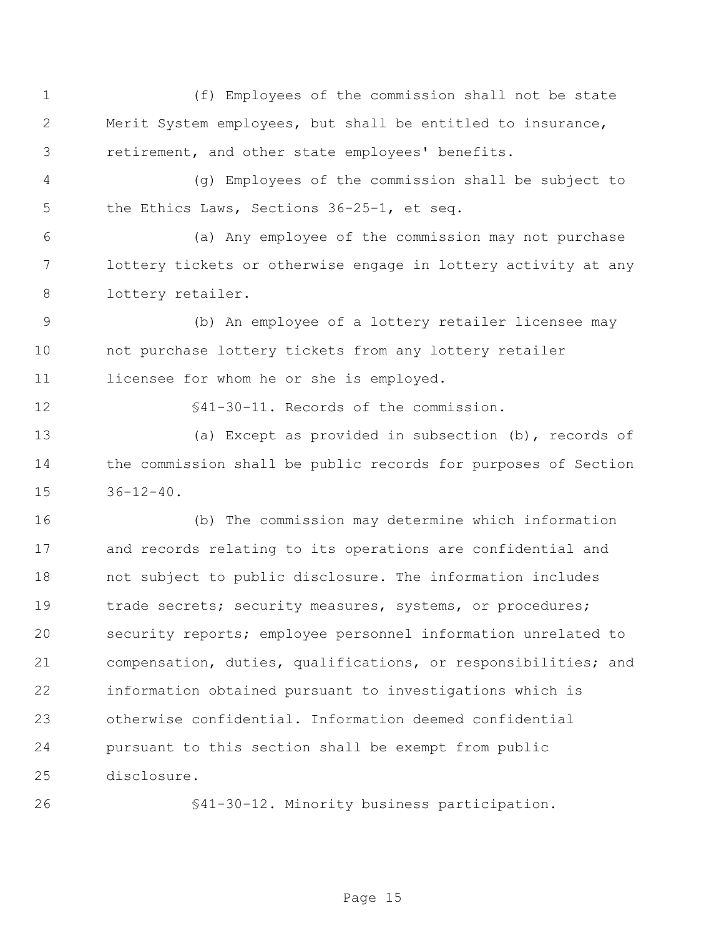(f) Employees of the commission shall not be state Merit System employees, but shall be entitled to insurance, retirement, and other state employees' benefits. (g) Employees of the commission shall be subject to the Ethics Laws, Sections 36-25-1, et seq. (a) Any employee of the commission may not purchase lottery tickets or otherwise engage in lottery activity at any lottery retailer. (b) An employee of a lottery retailer licensee may not purchase lottery tickets from any lottery retailer licensee for whom he or she is employed. §41-30-11. Records of the commission. (a) Except as provided in subsection (b), records of the commission shall be public records for purposes of Section 36-12-40. (b) The commission may determine which information and records relating to its operations are confidential and not subject to public disclosure. The information includes 19 trade secrets; security measures, systems, or procedures; security reports; employee personnel information unrelated to compensation, duties, qualifications, or responsibilities; and information obtained pursuant to investigations which is otherwise confidential. Information deemed confidential pursuant to this section shall be exempt from public disclosure.

§41-30-12. Minority business participation.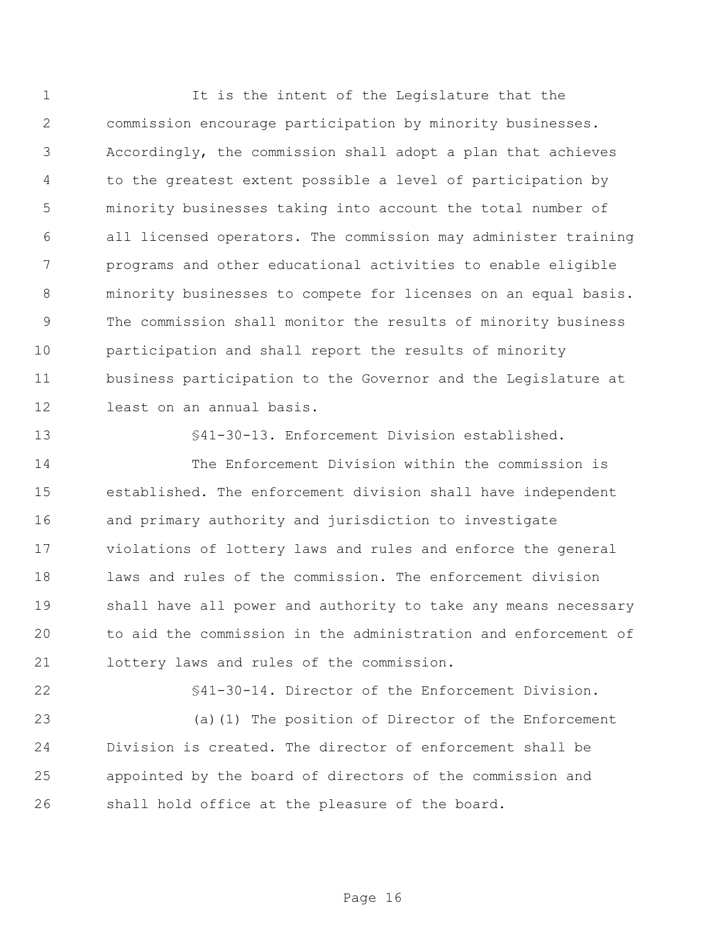It is the intent of the Legislature that the commission encourage participation by minority businesses. Accordingly, the commission shall adopt a plan that achieves to the greatest extent possible a level of participation by minority businesses taking into account the total number of all licensed operators. The commission may administer training programs and other educational activities to enable eligible minority businesses to compete for licenses on an equal basis. The commission shall monitor the results of minority business participation and shall report the results of minority business participation to the Governor and the Legislature at least on an annual basis.

§41-30-13. Enforcement Division established.

 The Enforcement Division within the commission is established. The enforcement division shall have independent and primary authority and jurisdiction to investigate violations of lottery laws and rules and enforce the general laws and rules of the commission. The enforcement division shall have all power and authority to take any means necessary to aid the commission in the administration and enforcement of lottery laws and rules of the commission.

§41-30-14. Director of the Enforcement Division.

 (a)(1) The position of Director of the Enforcement Division is created. The director of enforcement shall be appointed by the board of directors of the commission and shall hold office at the pleasure of the board.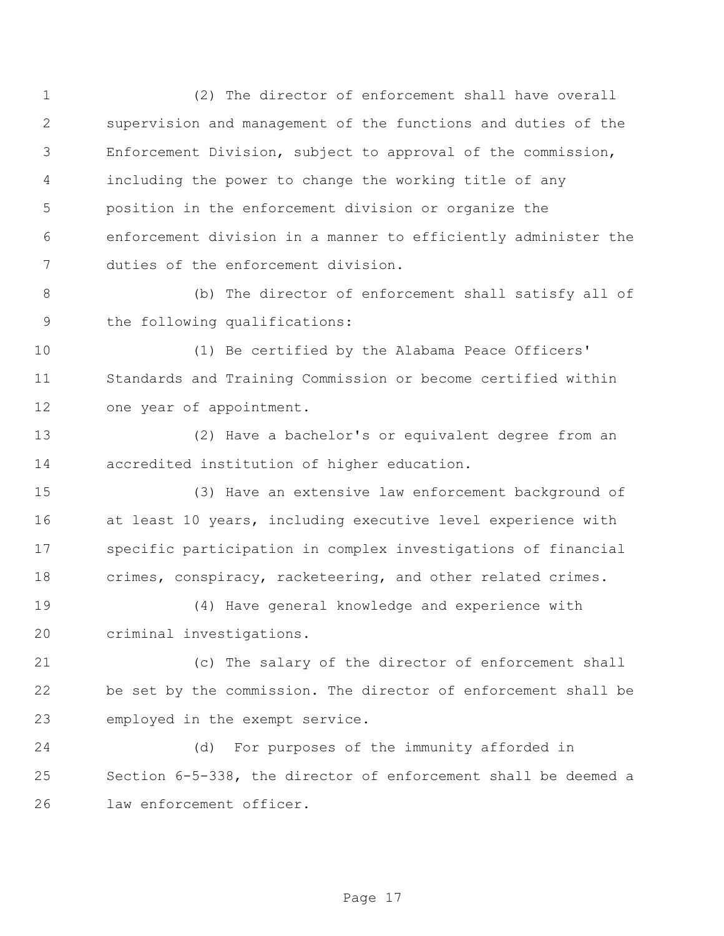(2) The director of enforcement shall have overall supervision and management of the functions and duties of the Enforcement Division, subject to approval of the commission, including the power to change the working title of any position in the enforcement division or organize the enforcement division in a manner to efficiently administer the duties of the enforcement division.

 (b) The director of enforcement shall satisfy all of the following qualifications:

 (1) Be certified by the Alabama Peace Officers' Standards and Training Commission or become certified within one year of appointment.

 (2) Have a bachelor's or equivalent degree from an accredited institution of higher education.

 (3) Have an extensive law enforcement background of at least 10 years, including executive level experience with specific participation in complex investigations of financial crimes, conspiracy, racketeering, and other related crimes.

 (4) Have general knowledge and experience with criminal investigations.

 (c) The salary of the director of enforcement shall be set by the commission. The director of enforcement shall be employed in the exempt service.

 (d) For purposes of the immunity afforded in Section 6-5-338, the director of enforcement shall be deemed a law enforcement officer.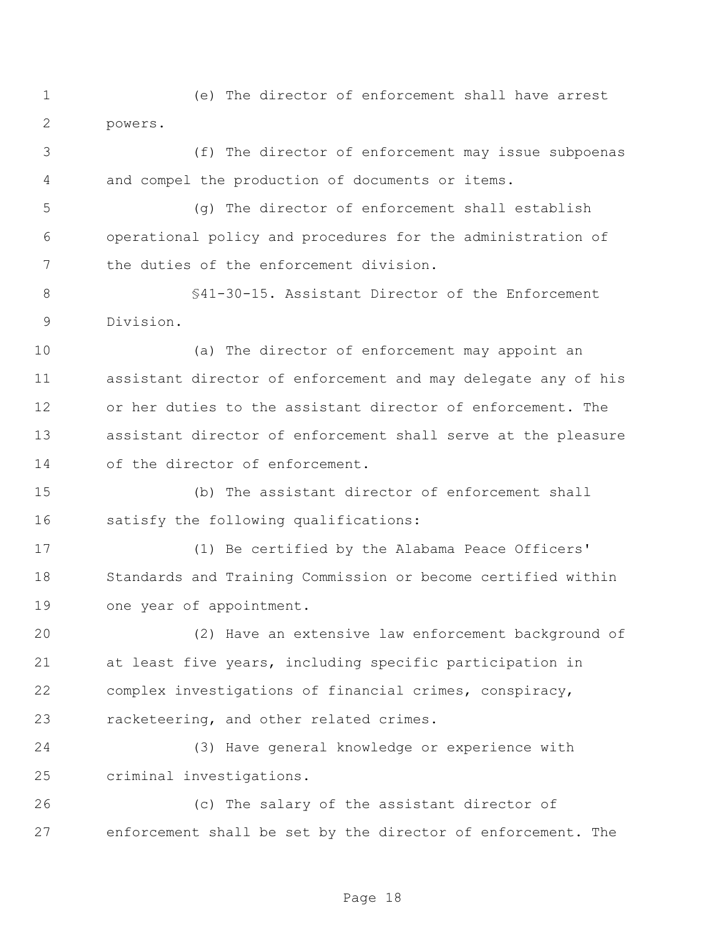(e) The director of enforcement shall have arrest powers.

 (f) The director of enforcement may issue subpoenas and compel the production of documents or items.

 (g) The director of enforcement shall establish operational policy and procedures for the administration of the duties of the enforcement division.

 §41-30-15. Assistant Director of the Enforcement Division.

 (a) The director of enforcement may appoint an assistant director of enforcement and may delegate any of his or her duties to the assistant director of enforcement. The assistant director of enforcement shall serve at the pleasure of the director of enforcement.

 (b) The assistant director of enforcement shall satisfy the following qualifications:

 (1) Be certified by the Alabama Peace Officers' Standards and Training Commission or become certified within one year of appointment.

 (2) Have an extensive law enforcement background of at least five years, including specific participation in complex investigations of financial crimes, conspiracy, racketeering, and other related crimes.

 (3) Have general knowledge or experience with criminal investigations.

 (c) The salary of the assistant director of enforcement shall be set by the director of enforcement. The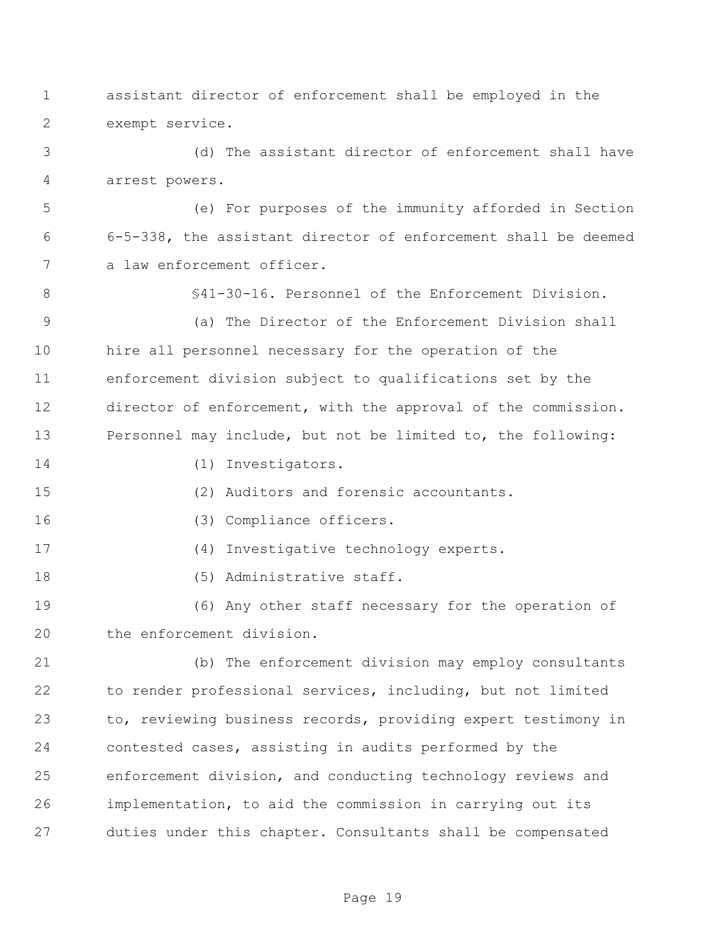assistant director of enforcement shall be employed in the exempt service.

 (d) The assistant director of enforcement shall have arrest powers.

 (e) For purposes of the immunity afforded in Section 6-5-338, the assistant director of enforcement shall be deemed a law enforcement officer.

§41-30-16. Personnel of the Enforcement Division.

 (a) The Director of the Enforcement Division shall hire all personnel necessary for the operation of the enforcement division subject to qualifications set by the director of enforcement, with the approval of the commission. Personnel may include, but not be limited to, the following:

- 
- 14 (1) Investigators.
- (2) Auditors and forensic accountants.
- 16 (3) Compliance officers.
- (4) Investigative technology experts.
- 18 (5) Administrative staff.

 (6) Any other staff necessary for the operation of the enforcement division.

 (b) The enforcement division may employ consultants to render professional services, including, but not limited to, reviewing business records, providing expert testimony in contested cases, assisting in audits performed by the enforcement division, and conducting technology reviews and implementation, to aid the commission in carrying out its duties under this chapter. Consultants shall be compensated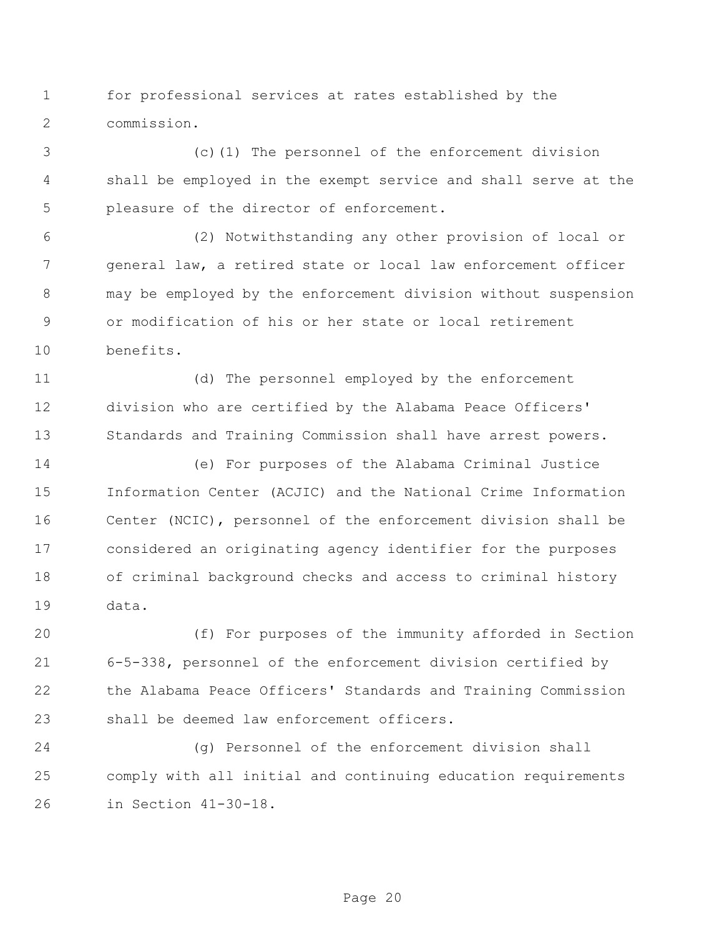for professional services at rates established by the commission.

 (c)(1) The personnel of the enforcement division shall be employed in the exempt service and shall serve at the pleasure of the director of enforcement.

 (2) Notwithstanding any other provision of local or general law, a retired state or local law enforcement officer may be employed by the enforcement division without suspension or modification of his or her state or local retirement benefits.

 (d) The personnel employed by the enforcement division who are certified by the Alabama Peace Officers' Standards and Training Commission shall have arrest powers.

 (e) For purposes of the Alabama Criminal Justice Information Center (ACJIC) and the National Crime Information Center (NCIC), personnel of the enforcement division shall be considered an originating agency identifier for the purposes of criminal background checks and access to criminal history data.

 (f) For purposes of the immunity afforded in Section 6-5-338, personnel of the enforcement division certified by the Alabama Peace Officers' Standards and Training Commission shall be deemed law enforcement officers.

 (g) Personnel of the enforcement division shall comply with all initial and continuing education requirements in Section 41-30-18.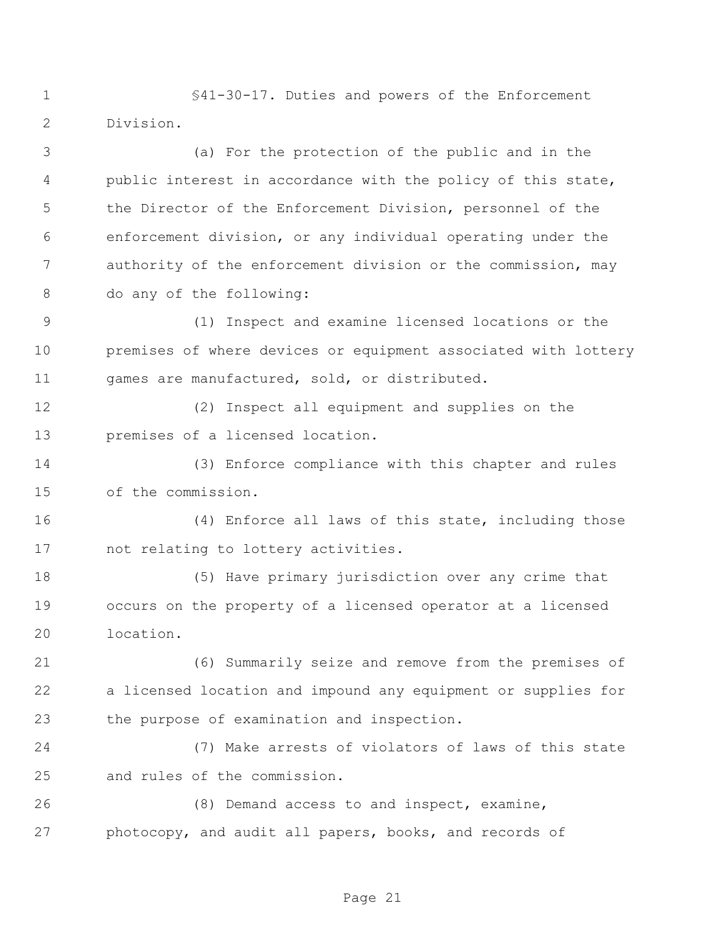§41-30-17. Duties and powers of the Enforcement Division.

 (a) For the protection of the public and in the public interest in accordance with the policy of this state, the Director of the Enforcement Division, personnel of the enforcement division, or any individual operating under the authority of the enforcement division or the commission, may do any of the following:

 (1) Inspect and examine licensed locations or the premises of where devices or equipment associated with lottery games are manufactured, sold, or distributed.

 (2) Inspect all equipment and supplies on the premises of a licensed location.

 (3) Enforce compliance with this chapter and rules of the commission.

 (4) Enforce all laws of this state, including those not relating to lottery activities.

 (5) Have primary jurisdiction over any crime that occurs on the property of a licensed operator at a licensed location.

 (6) Summarily seize and remove from the premises of a licensed location and impound any equipment or supplies for the purpose of examination and inspection.

 (7) Make arrests of violators of laws of this state and rules of the commission.

 (8) Demand access to and inspect, examine, photocopy, and audit all papers, books, and records of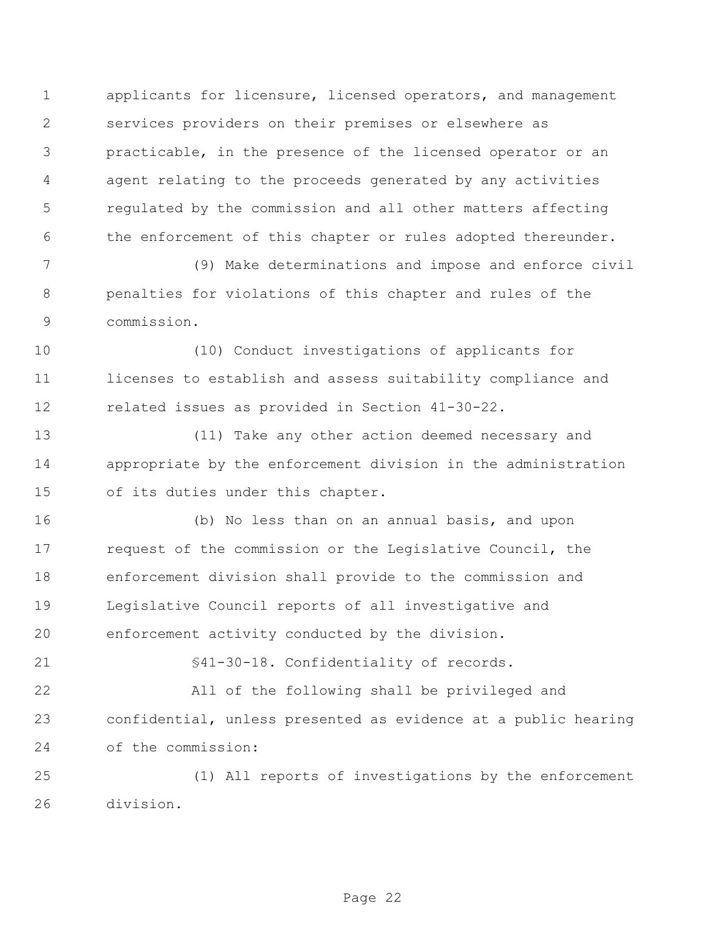applicants for licensure, licensed operators, and management services providers on their premises or elsewhere as practicable, in the presence of the licensed operator or an agent relating to the proceeds generated by any activities regulated by the commission and all other matters affecting the enforcement of this chapter or rules adopted thereunder.

 (9) Make determinations and impose and enforce civil penalties for violations of this chapter and rules of the commission.

 (10) Conduct investigations of applicants for licenses to establish and assess suitability compliance and related issues as provided in Section 41-30-22.

 (11) Take any other action deemed necessary and appropriate by the enforcement division in the administration of its duties under this chapter.

 (b) No less than on an annual basis, and upon request of the commission or the Legislative Council, the enforcement division shall provide to the commission and Legislative Council reports of all investigative and enforcement activity conducted by the division.

§41-30-18. Confidentiality of records.

 All of the following shall be privileged and confidential, unless presented as evidence at a public hearing of the commission:

 (1) All reports of investigations by the enforcement division.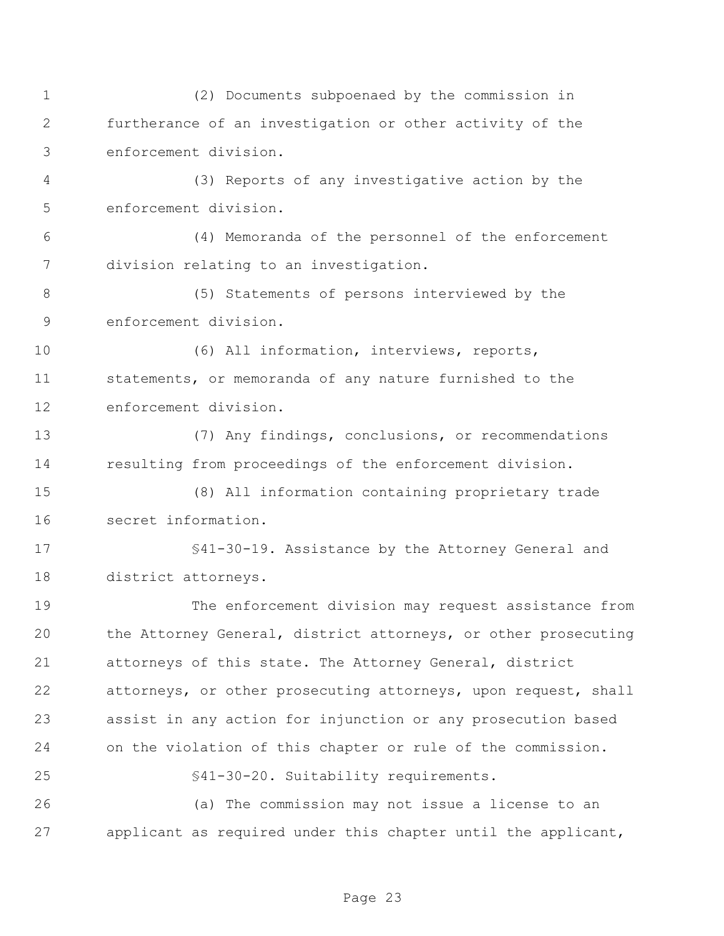(2) Documents subpoenaed by the commission in furtherance of an investigation or other activity of the enforcement division. (3) Reports of any investigative action by the enforcement division. (4) Memoranda of the personnel of the enforcement division relating to an investigation. (5) Statements of persons interviewed by the enforcement division. (6) All information, interviews, reports, statements, or memoranda of any nature furnished to the enforcement division. (7) Any findings, conclusions, or recommendations resulting from proceedings of the enforcement division. (8) All information containing proprietary trade secret information. §41-30-19. Assistance by the Attorney General and district attorneys. The enforcement division may request assistance from the Attorney General, district attorneys, or other prosecuting attorneys of this state. The Attorney General, district attorneys, or other prosecuting attorneys, upon request, shall assist in any action for injunction or any prosecution based on the violation of this chapter or rule of the commission. §41-30-20. Suitability requirements. (a) The commission may not issue a license to an applicant as required under this chapter until the applicant,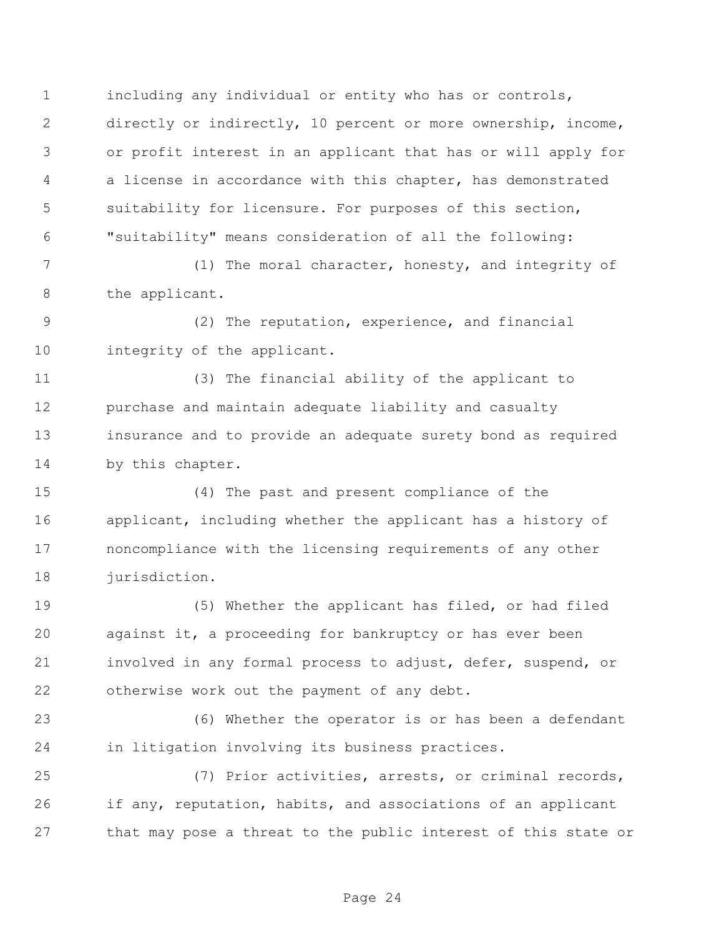including any individual or entity who has or controls, directly or indirectly, 10 percent or more ownership, income, or profit interest in an applicant that has or will apply for a license in accordance with this chapter, has demonstrated suitability for licensure. For purposes of this section, "suitability" means consideration of all the following:

 (1) The moral character, honesty, and integrity of the applicant.

 (2) The reputation, experience, and financial 10 integrity of the applicant.

 (3) The financial ability of the applicant to purchase and maintain adequate liability and casualty insurance and to provide an adequate surety bond as required by this chapter.

 (4) The past and present compliance of the applicant, including whether the applicant has a history of noncompliance with the licensing requirements of any other jurisdiction.

 (5) Whether the applicant has filed, or had filed against it, a proceeding for bankruptcy or has ever been involved in any formal process to adjust, defer, suspend, or otherwise work out the payment of any debt.

 (6) Whether the operator is or has been a defendant in litigation involving its business practices.

 (7) Prior activities, arrests, or criminal records, if any, reputation, habits, and associations of an applicant that may pose a threat to the public interest of this state or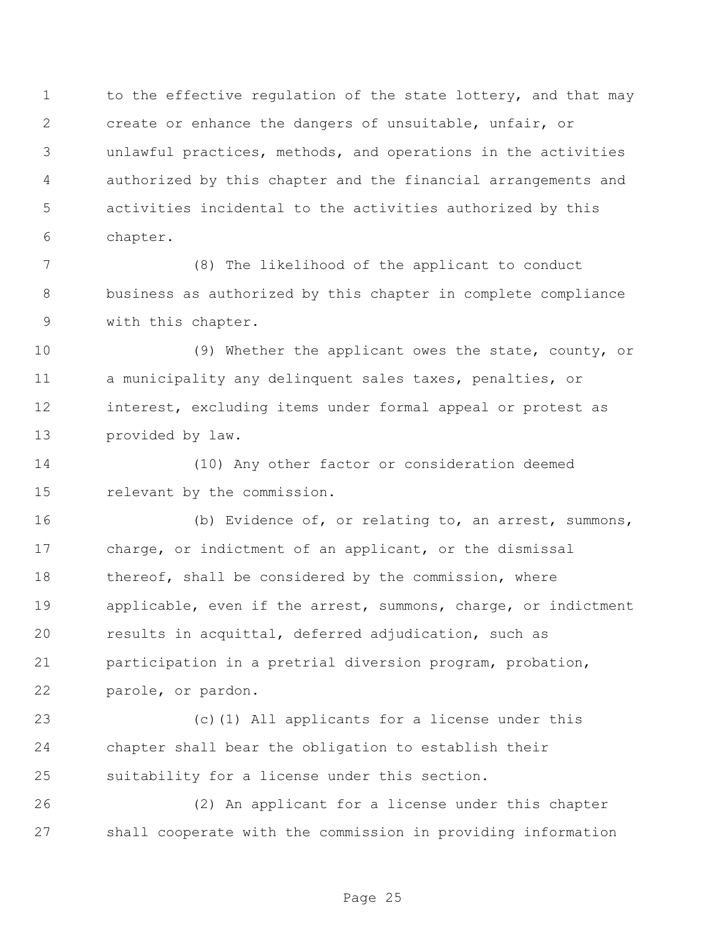1 to the effective regulation of the state lottery, and that may create or enhance the dangers of unsuitable, unfair, or unlawful practices, methods, and operations in the activities authorized by this chapter and the financial arrangements and activities incidental to the activities authorized by this chapter.

 (8) The likelihood of the applicant to conduct business as authorized by this chapter in complete compliance with this chapter.

 (9) Whether the applicant owes the state, county, or a municipality any delinquent sales taxes, penalties, or interest, excluding items under formal appeal or protest as provided by law.

 (10) Any other factor or consideration deemed relevant by the commission.

 (b) Evidence of, or relating to, an arrest, summons, charge, or indictment of an applicant, or the dismissal 18 thereof, shall be considered by the commission, where applicable, even if the arrest, summons, charge, or indictment results in acquittal, deferred adjudication, such as participation in a pretrial diversion program, probation, parole, or pardon.

 (c)(1) All applicants for a license under this chapter shall bear the obligation to establish their suitability for a license under this section.

 (2) An applicant for a license under this chapter shall cooperate with the commission in providing information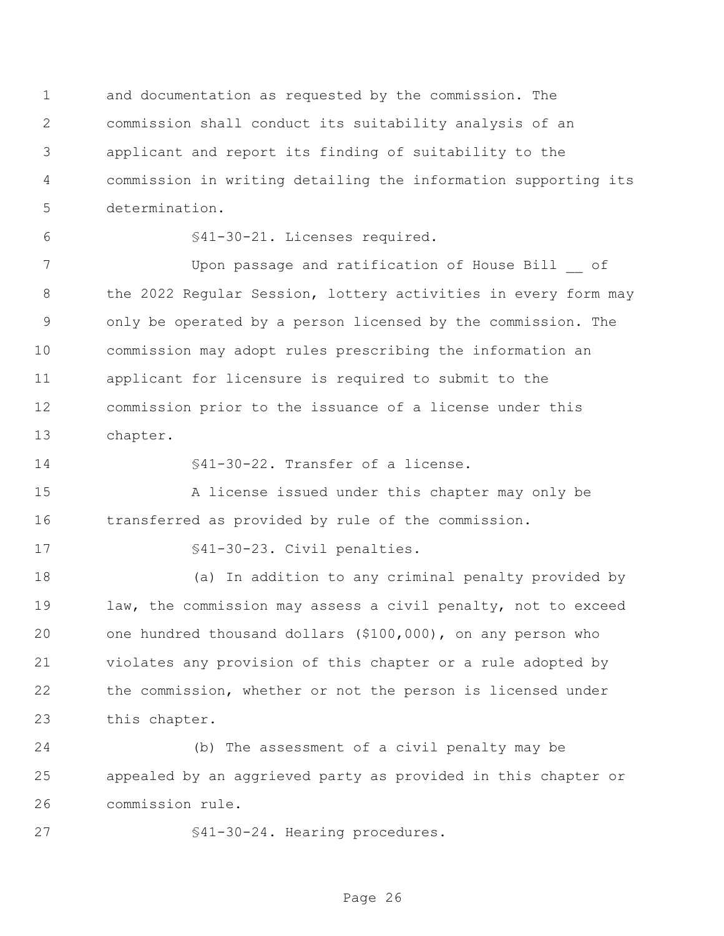and documentation as requested by the commission. The commission shall conduct its suitability analysis of an applicant and report its finding of suitability to the commission in writing detailing the information supporting its determination.

§41-30-21. Licenses required.

 Upon passage and ratification of House Bill \_\_ of 8 the 2022 Regular Session, lottery activities in every form may only be operated by a person licensed by the commission. The commission may adopt rules prescribing the information an applicant for licensure is required to submit to the commission prior to the issuance of a license under this chapter.

§41-30-22. Transfer of a license.

 A license issued under this chapter may only be transferred as provided by rule of the commission.

17 S41-30-23. Civil penalties.

 (a) In addition to any criminal penalty provided by law, the commission may assess a civil penalty, not to exceed one hundred thousand dollars (\$100,000), on any person who violates any provision of this chapter or a rule adopted by the commission, whether or not the person is licensed under this chapter.

 (b) The assessment of a civil penalty may be appealed by an aggrieved party as provided in this chapter or commission rule.

27 §41-30-24. Hearing procedures.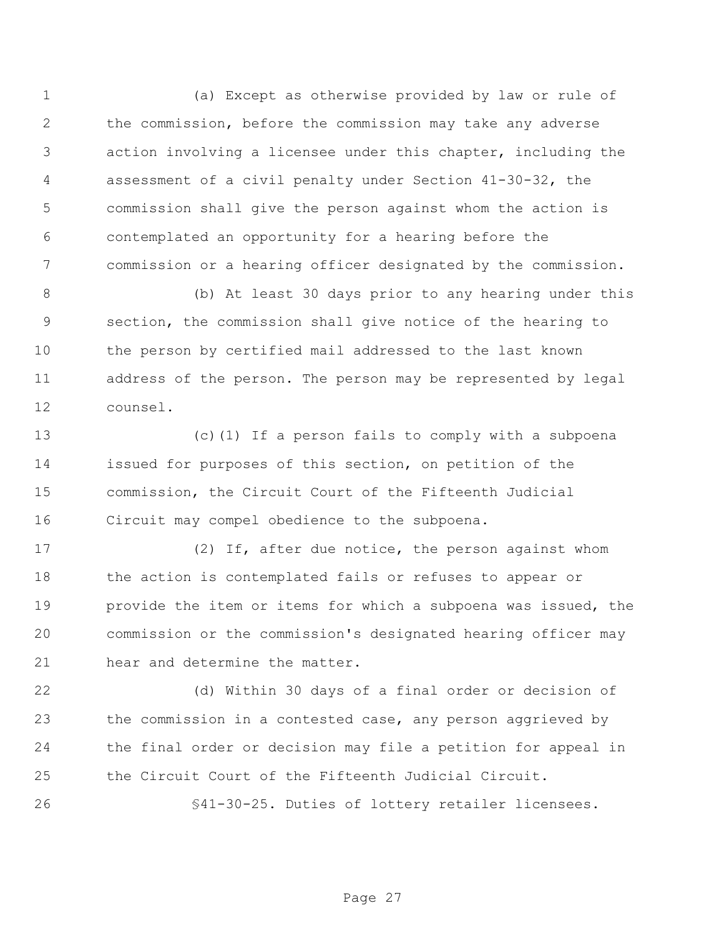(a) Except as otherwise provided by law or rule of the commission, before the commission may take any adverse action involving a licensee under this chapter, including the assessment of a civil penalty under Section 41-30-32, the commission shall give the person against whom the action is contemplated an opportunity for a hearing before the commission or a hearing officer designated by the commission.

 (b) At least 30 days prior to any hearing under this section, the commission shall give notice of the hearing to the person by certified mail addressed to the last known address of the person. The person may be represented by legal counsel.

 (c)(1) If a person fails to comply with a subpoena issued for purposes of this section, on petition of the commission, the Circuit Court of the Fifteenth Judicial Circuit may compel obedience to the subpoena.

 (2) If, after due notice, the person against whom the action is contemplated fails or refuses to appear or provide the item or items for which a subpoena was issued, the commission or the commission's designated hearing officer may hear and determine the matter.

 (d) Within 30 days of a final order or decision of the commission in a contested case, any person aggrieved by the final order or decision may file a petition for appeal in the Circuit Court of the Fifteenth Judicial Circuit.

§41-30-25. Duties of lottery retailer licensees.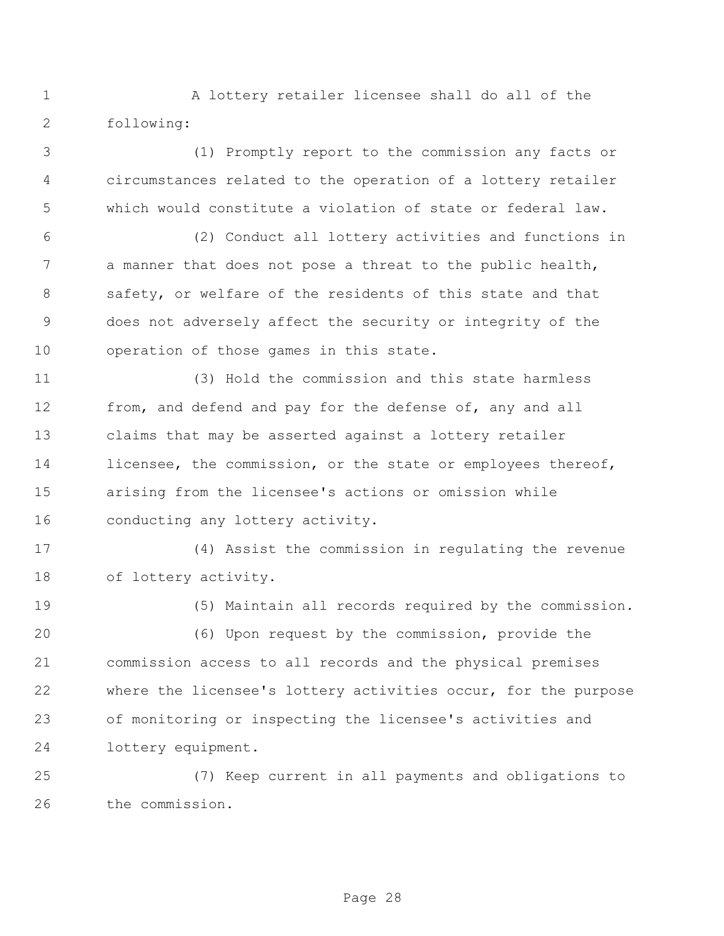A lottery retailer licensee shall do all of the following:

 (1) Promptly report to the commission any facts or circumstances related to the operation of a lottery retailer which would constitute a violation of state or federal law.

 (2) Conduct all lottery activities and functions in a manner that does not pose a threat to the public health, safety, or welfare of the residents of this state and that does not adversely affect the security or integrity of the operation of those games in this state.

 (3) Hold the commission and this state harmless 12 from, and defend and pay for the defense of, any and all claims that may be asserted against a lottery retailer 14 licensee, the commission, or the state or employees thereof, arising from the licensee's actions or omission while conducting any lottery activity.

 (4) Assist the commission in regulating the revenue of lottery activity.

(5) Maintain all records required by the commission.

 (6) Upon request by the commission, provide the commission access to all records and the physical premises where the licensee's lottery activities occur, for the purpose of monitoring or inspecting the licensee's activities and lottery equipment.

 (7) Keep current in all payments and obligations to the commission.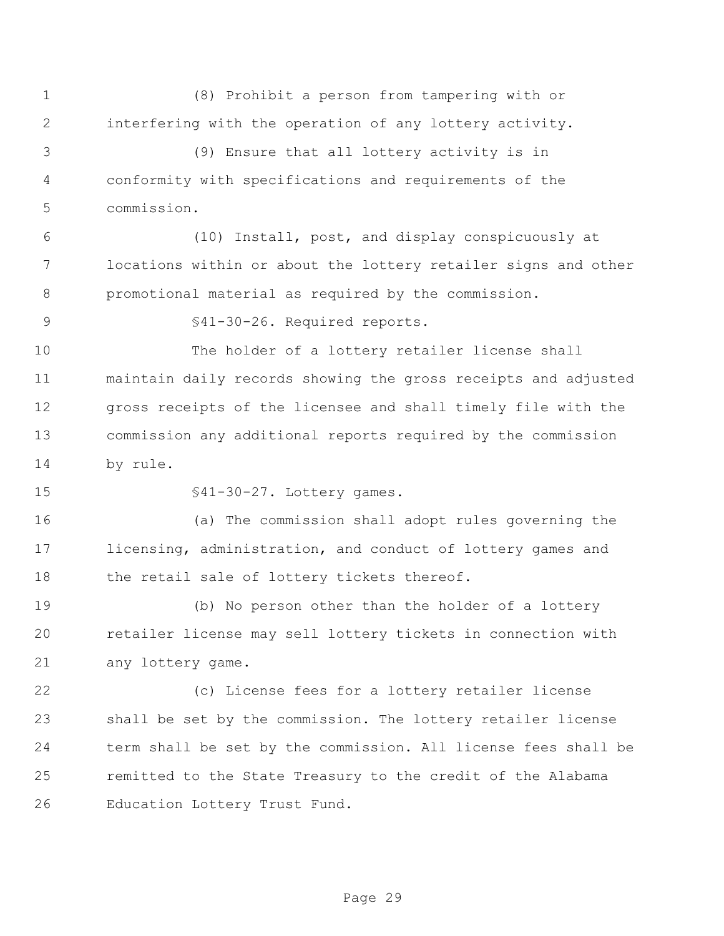(8) Prohibit a person from tampering with or interfering with the operation of any lottery activity.

 (9) Ensure that all lottery activity is in conformity with specifications and requirements of the commission.

 (10) Install, post, and display conspicuously at locations within or about the lottery retailer signs and other promotional material as required by the commission.

§41-30-26. Required reports.

 The holder of a lottery retailer license shall maintain daily records showing the gross receipts and adjusted gross receipts of the licensee and shall timely file with the commission any additional reports required by the commission by rule.

§41-30-27. Lottery games.

 (a) The commission shall adopt rules governing the licensing, administration, and conduct of lottery games and 18 the retail sale of lottery tickets thereof.

 (b) No person other than the holder of a lottery retailer license may sell lottery tickets in connection with any lottery game.

 (c) License fees for a lottery retailer license shall be set by the commission. The lottery retailer license term shall be set by the commission. All license fees shall be remitted to the State Treasury to the credit of the Alabama Education Lottery Trust Fund.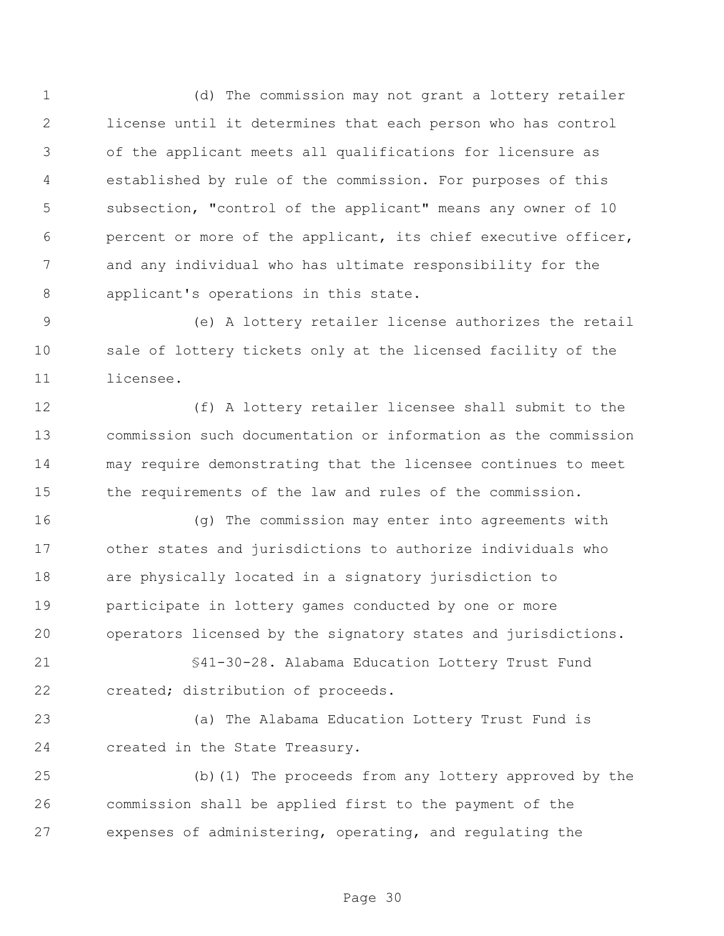(d) The commission may not grant a lottery retailer license until it determines that each person who has control of the applicant meets all qualifications for licensure as established by rule of the commission. For purposes of this subsection, "control of the applicant" means any owner of 10 percent or more of the applicant, its chief executive officer, and any individual who has ultimate responsibility for the applicant's operations in this state.

 (e) A lottery retailer license authorizes the retail sale of lottery tickets only at the licensed facility of the licensee.

 (f) A lottery retailer licensee shall submit to the commission such documentation or information as the commission may require demonstrating that the licensee continues to meet the requirements of the law and rules of the commission.

 (g) The commission may enter into agreements with other states and jurisdictions to authorize individuals who are physically located in a signatory jurisdiction to participate in lottery games conducted by one or more operators licensed by the signatory states and jurisdictions.

 §41-30-28. Alabama Education Lottery Trust Fund created; distribution of proceeds.

 (a) The Alabama Education Lottery Trust Fund is created in the State Treasury.

 (b)(1) The proceeds from any lottery approved by the commission shall be applied first to the payment of the expenses of administering, operating, and regulating the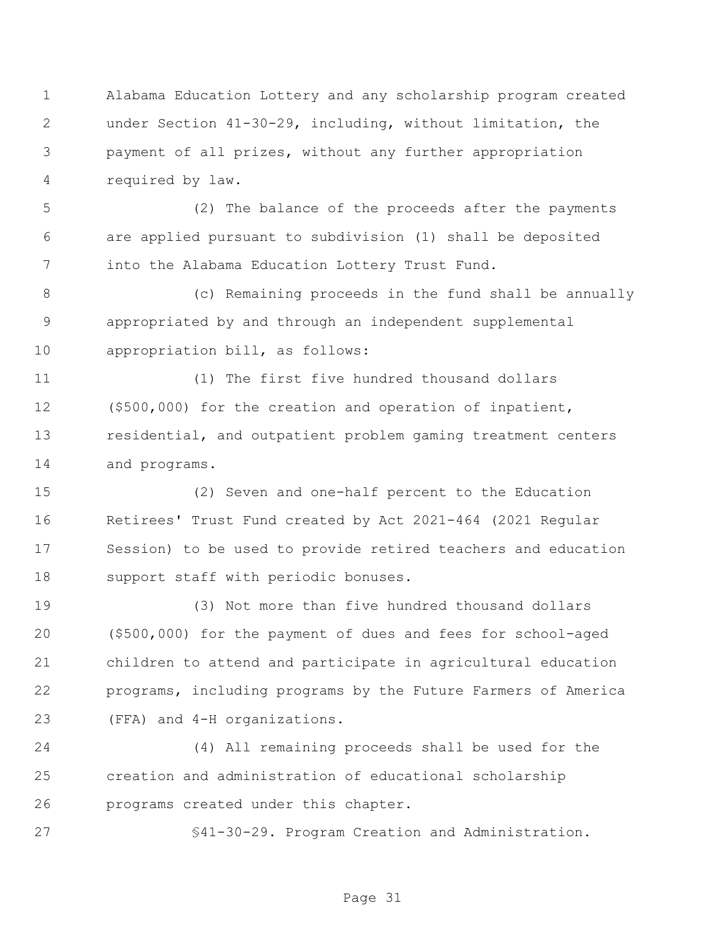Alabama Education Lottery and any scholarship program created under Section 41-30-29, including, without limitation, the payment of all prizes, without any further appropriation required by law.

 (2) The balance of the proceeds after the payments are applied pursuant to subdivision (1) shall be deposited into the Alabama Education Lottery Trust Fund.

 (c) Remaining proceeds in the fund shall be annually appropriated by and through an independent supplemental appropriation bill, as follows:

 (1) The first five hundred thousand dollars (\$500,000) for the creation and operation of inpatient, residential, and outpatient problem gaming treatment centers and programs.

 (2) Seven and one-half percent to the Education Retirees' Trust Fund created by Act 2021-464 (2021 Regular Session) to be used to provide retired teachers and education support staff with periodic bonuses.

 (3) Not more than five hundred thousand dollars (\$500,000) for the payment of dues and fees for school-aged children to attend and participate in agricultural education programs, including programs by the Future Farmers of America (FFA) and 4-H organizations.

 (4) All remaining proceeds shall be used for the creation and administration of educational scholarship programs created under this chapter.

§41-30-29. Program Creation and Administration.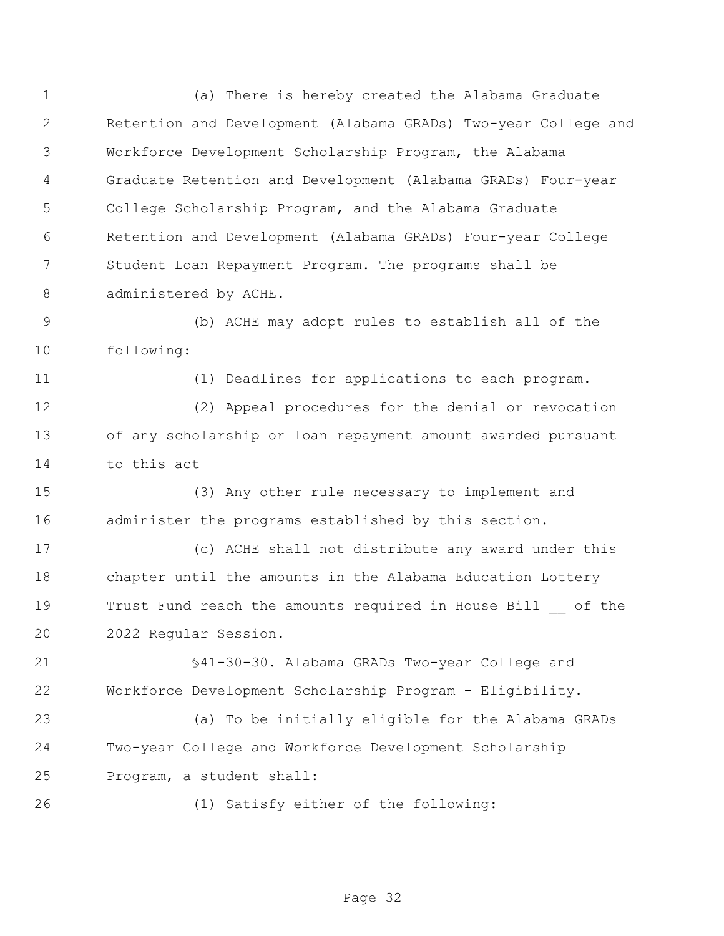(a) There is hereby created the Alabama Graduate Retention and Development (Alabama GRADs) Two-year College and Workforce Development Scholarship Program, the Alabama Graduate Retention and Development (Alabama GRADs) Four-year College Scholarship Program, and the Alabama Graduate Retention and Development (Alabama GRADs) Four-year College Student Loan Repayment Program. The programs shall be 8 administered by ACHE.

 (b) ACHE may adopt rules to establish all of the following:

(1) Deadlines for applications to each program.

 (2) Appeal procedures for the denial or revocation of any scholarship or loan repayment amount awarded pursuant to this act

 (3) Any other rule necessary to implement and administer the programs established by this section.

 (c) ACHE shall not distribute any award under this chapter until the amounts in the Alabama Education Lottery Trust Fund reach the amounts required in House Bill \_\_ of the 2022 Regular Session.

 §41-30-30. Alabama GRADs Two-year College and Workforce Development Scholarship Program - Eligibility.

 (a) To be initially eligible for the Alabama GRADs Two-year College and Workforce Development Scholarship Program, a student shall:

(1) Satisfy either of the following: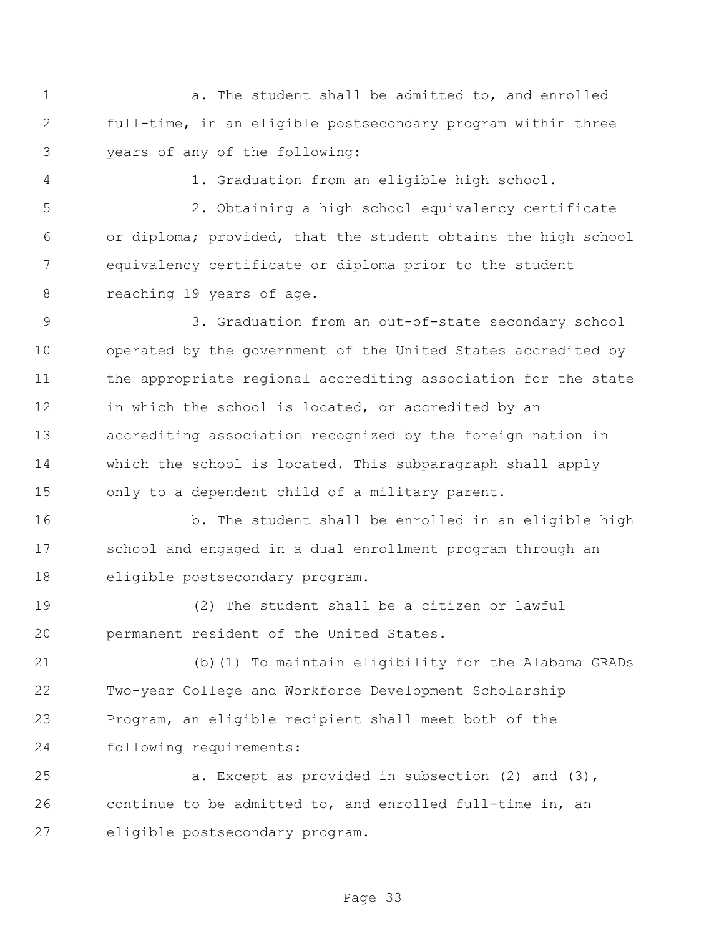1 a. The student shall be admitted to, and enrolled full-time, in an eligible postsecondary program within three years of any of the following:

1. Graduation from an eligible high school.

 2. Obtaining a high school equivalency certificate or diploma; provided, that the student obtains the high school equivalency certificate or diploma prior to the student reaching 19 years of age.

 3. Graduation from an out-of-state secondary school operated by the government of the United States accredited by the appropriate regional accrediting association for the state 12 in which the school is located, or accredited by an accrediting association recognized by the foreign nation in which the school is located. This subparagraph shall apply only to a dependent child of a military parent.

16 b. The student shall be enrolled in an eligible high school and engaged in a dual enrollment program through an eligible postsecondary program.

 (2) The student shall be a citizen or lawful permanent resident of the United States.

 (b)(1) To maintain eligibility for the Alabama GRADs Two-year College and Workforce Development Scholarship Program, an eligible recipient shall meet both of the following requirements:

 a. Except as provided in subsection (2) and (3), continue to be admitted to, and enrolled full-time in, an eligible postsecondary program.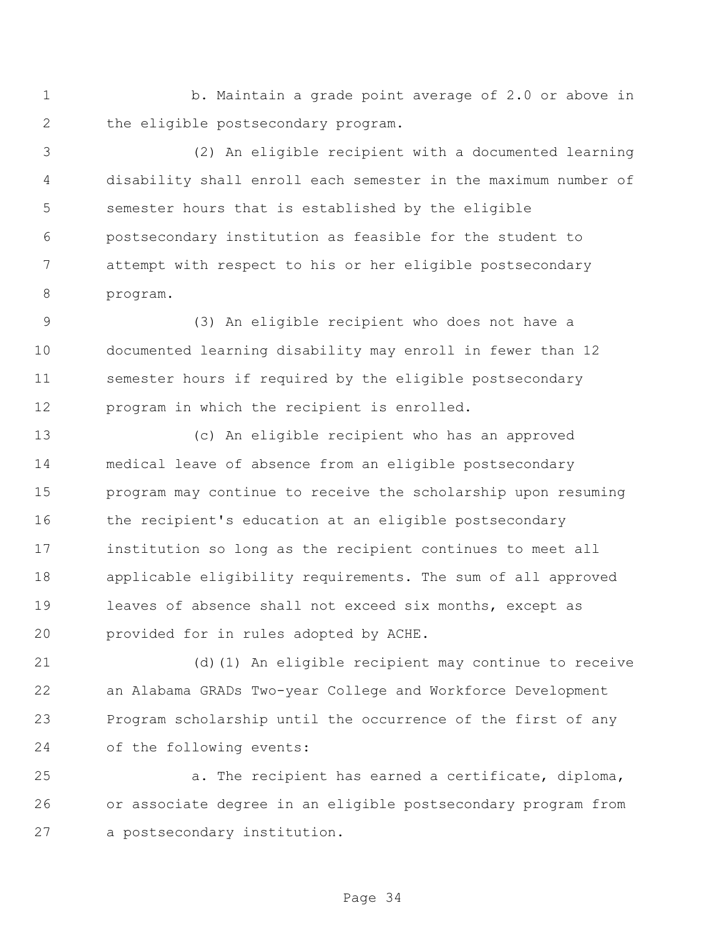1 b. Maintain a grade point average of 2.0 or above in the eligible postsecondary program.

 (2) An eligible recipient with a documented learning disability shall enroll each semester in the maximum number of semester hours that is established by the eligible postsecondary institution as feasible for the student to attempt with respect to his or her eligible postsecondary program.

 (3) An eligible recipient who does not have a documented learning disability may enroll in fewer than 12 semester hours if required by the eligible postsecondary program in which the recipient is enrolled.

 (c) An eligible recipient who has an approved medical leave of absence from an eligible postsecondary program may continue to receive the scholarship upon resuming the recipient's education at an eligible postsecondary institution so long as the recipient continues to meet all applicable eligibility requirements. The sum of all approved leaves of absence shall not exceed six months, except as provided for in rules adopted by ACHE.

 (d)(1) An eligible recipient may continue to receive an Alabama GRADs Two-year College and Workforce Development Program scholarship until the occurrence of the first of any of the following events:

 a. The recipient has earned a certificate, diploma, or associate degree in an eligible postsecondary program from a postsecondary institution.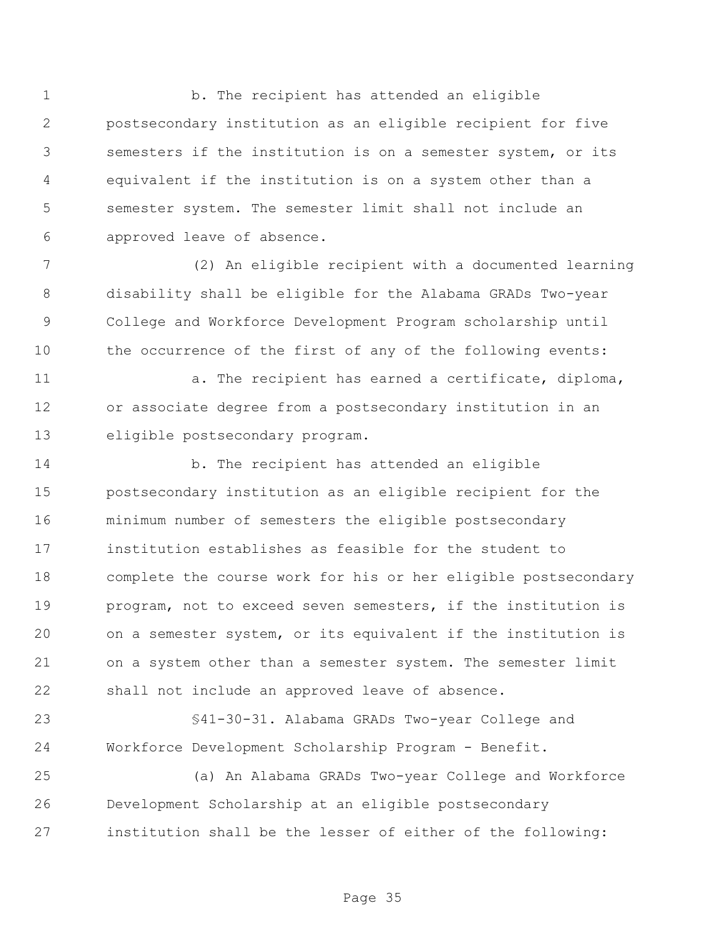1 b. The recipient has attended an eligible postsecondary institution as an eligible recipient for five semesters if the institution is on a semester system, or its equivalent if the institution is on a system other than a semester system. The semester limit shall not include an approved leave of absence.

 (2) An eligible recipient with a documented learning disability shall be eligible for the Alabama GRADs Two-year College and Workforce Development Program scholarship until the occurrence of the first of any of the following events:

11 a. The recipient has earned a certificate, diploma, or associate degree from a postsecondary institution in an eligible postsecondary program.

 b. The recipient has attended an eligible postsecondary institution as an eligible recipient for the minimum number of semesters the eligible postsecondary institution establishes as feasible for the student to complete the course work for his or her eligible postsecondary program, not to exceed seven semesters, if the institution is on a semester system, or its equivalent if the institution is on a system other than a semester system. The semester limit shall not include an approved leave of absence.

 §41-30-31. Alabama GRADs Two-year College and Workforce Development Scholarship Program - Benefit.

 (a) An Alabama GRADs Two-year College and Workforce Development Scholarship at an eligible postsecondary institution shall be the lesser of either of the following: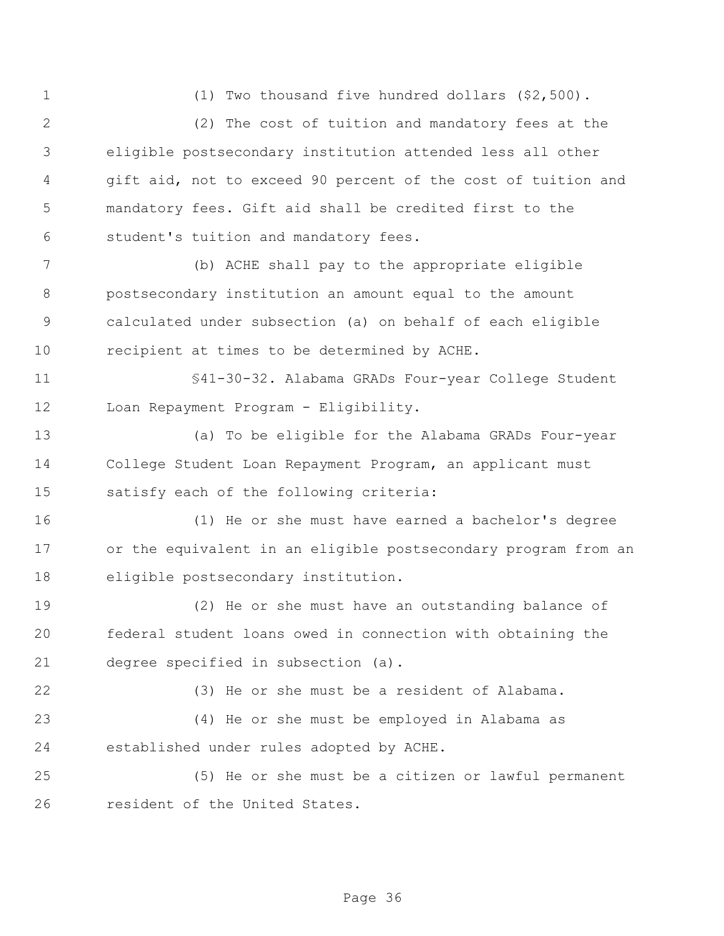(1) Two thousand five hundred dollars (\$2,500).

 (2) The cost of tuition and mandatory fees at the eligible postsecondary institution attended less all other gift aid, not to exceed 90 percent of the cost of tuition and mandatory fees. Gift aid shall be credited first to the student's tuition and mandatory fees.

 (b) ACHE shall pay to the appropriate eligible postsecondary institution an amount equal to the amount calculated under subsection (a) on behalf of each eligible recipient at times to be determined by ACHE.

 §41-30-32. Alabama GRADs Four-year College Student Loan Repayment Program - Eligibility.

 (a) To be eligible for the Alabama GRADs Four-year College Student Loan Repayment Program, an applicant must satisfy each of the following criteria:

 (1) He or she must have earned a bachelor's degree or the equivalent in an eligible postsecondary program from an eligible postsecondary institution.

 (2) He or she must have an outstanding balance of federal student loans owed in connection with obtaining the degree specified in subsection (a).

(3) He or she must be a resident of Alabama.

 (4) He or she must be employed in Alabama as established under rules adopted by ACHE.

 (5) He or she must be a citizen or lawful permanent resident of the United States.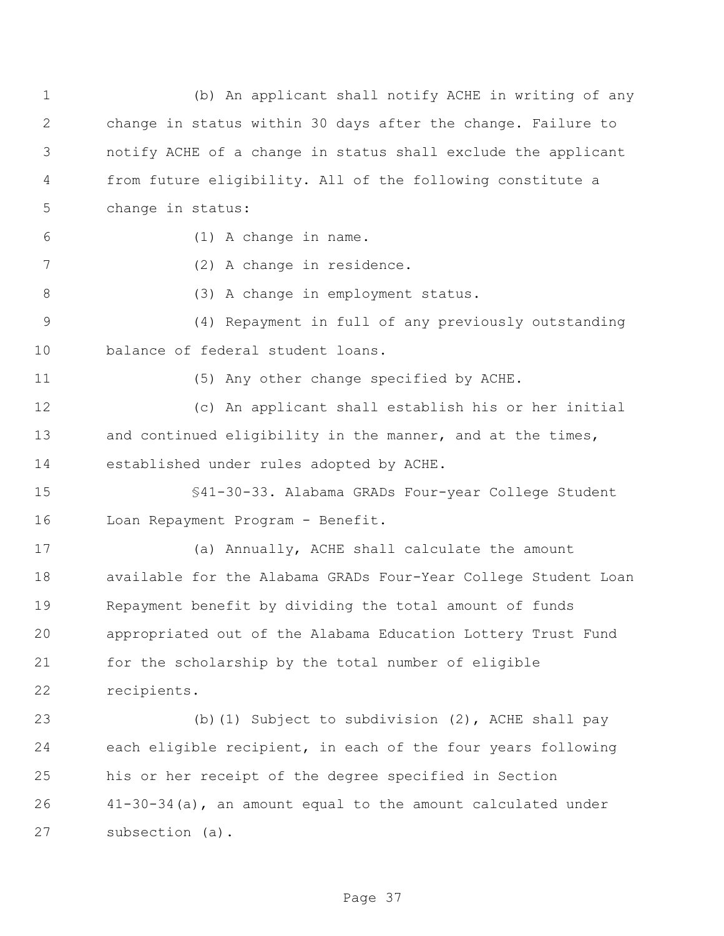(b) An applicant shall notify ACHE in writing of any change in status within 30 days after the change. Failure to notify ACHE of a change in status shall exclude the applicant from future eligibility. All of the following constitute a change in status: (1) A change in name. (2) A change in residence. 8 (3) A change in employment status. (4) Repayment in full of any previously outstanding balance of federal student loans. (5) Any other change specified by ACHE. (c) An applicant shall establish his or her initial 13 and continued eligibility in the manner, and at the times, established under rules adopted by ACHE. §41-30-33. Alabama GRADs Four-year College Student Loan Repayment Program - Benefit. (a) Annually, ACHE shall calculate the amount available for the Alabama GRADs Four-Year College Student Loan Repayment benefit by dividing the total amount of funds appropriated out of the Alabama Education Lottery Trust Fund for the scholarship by the total number of eligible recipients. (b)(1) Subject to subdivision (2), ACHE shall pay each eligible recipient, in each of the four years following his or her receipt of the degree specified in Section 41-30-34(a), an amount equal to the amount calculated under subsection (a).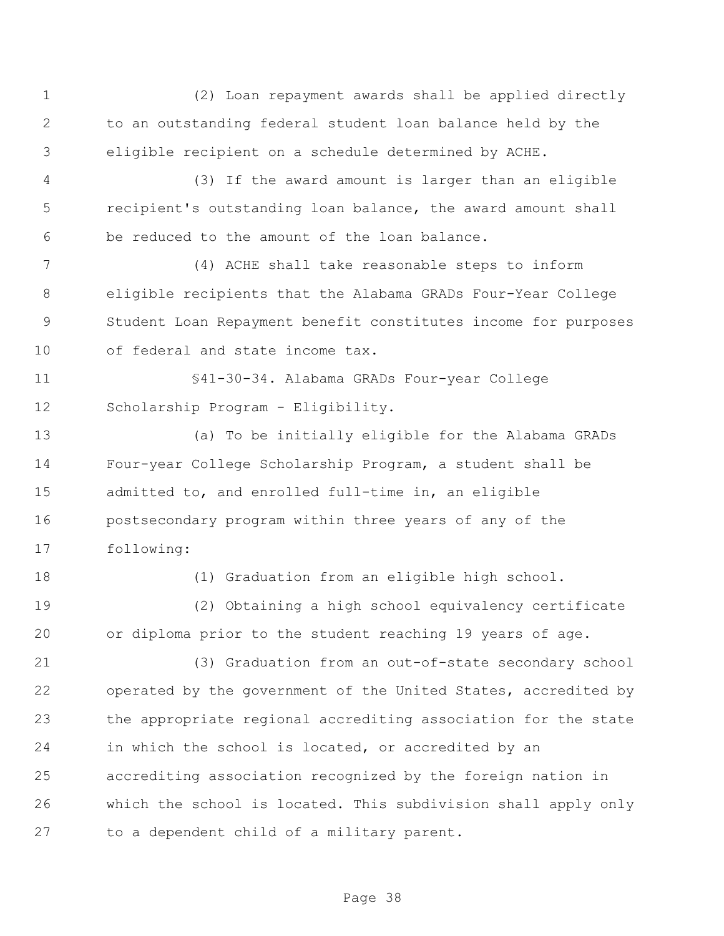(2) Loan repayment awards shall be applied directly to an outstanding federal student loan balance held by the eligible recipient on a schedule determined by ACHE. (3) If the award amount is larger than an eligible recipient's outstanding loan balance, the award amount shall be reduced to the amount of the loan balance. (4) ACHE shall take reasonable steps to inform eligible recipients that the Alabama GRADs Four-Year College Student Loan Repayment benefit constitutes income for purposes of federal and state income tax. §41-30-34. Alabama GRADs Four-year College Scholarship Program - Eligibility. (a) To be initially eligible for the Alabama GRADs Four-year College Scholarship Program, a student shall be admitted to, and enrolled full-time in, an eligible postsecondary program within three years of any of the following: (1) Graduation from an eligible high school. (2) Obtaining a high school equivalency certificate or diploma prior to the student reaching 19 years of age. (3) Graduation from an out-of-state secondary school operated by the government of the United States, accredited by the appropriate regional accrediting association for the state in which the school is located, or accredited by an accrediting association recognized by the foreign nation in which the school is located. This subdivision shall apply only to a dependent child of a military parent.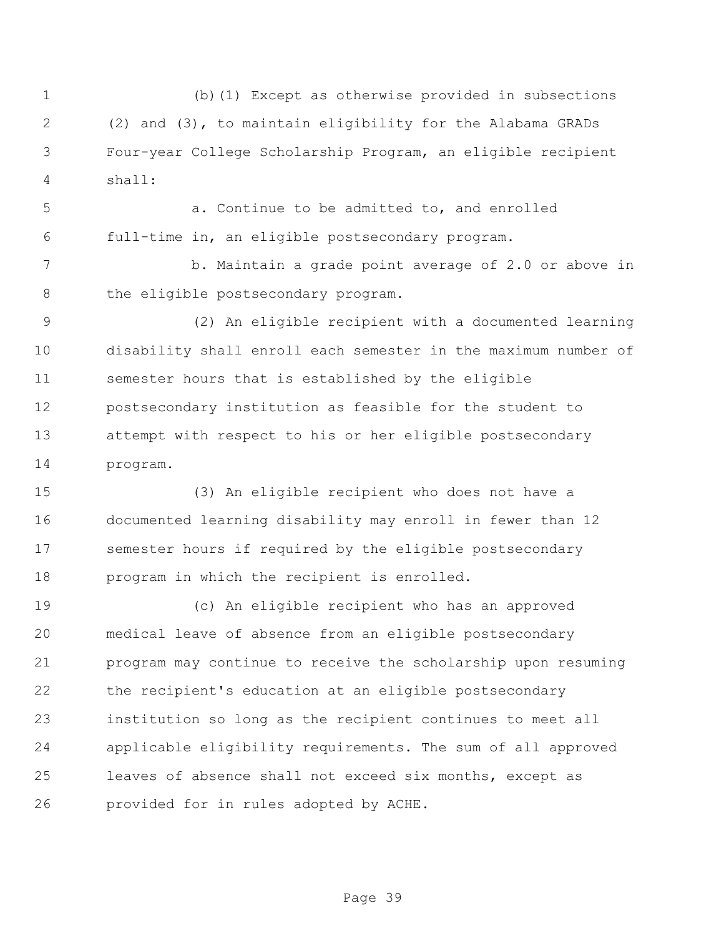(b)(1) Except as otherwise provided in subsections (2) and (3), to maintain eligibility for the Alabama GRADs Four-year College Scholarship Program, an eligible recipient shall:

 a. Continue to be admitted to, and enrolled full-time in, an eligible postsecondary program.

7 b. Maintain a grade point average of 2.0 or above in 8 the eligible postsecondary program.

 (2) An eligible recipient with a documented learning disability shall enroll each semester in the maximum number of semester hours that is established by the eligible postsecondary institution as feasible for the student to attempt with respect to his or her eligible postsecondary program.

 (3) An eligible recipient who does not have a documented learning disability may enroll in fewer than 12 semester hours if required by the eligible postsecondary program in which the recipient is enrolled.

 (c) An eligible recipient who has an approved medical leave of absence from an eligible postsecondary program may continue to receive the scholarship upon resuming the recipient's education at an eligible postsecondary institution so long as the recipient continues to meet all applicable eligibility requirements. The sum of all approved leaves of absence shall not exceed six months, except as provided for in rules adopted by ACHE.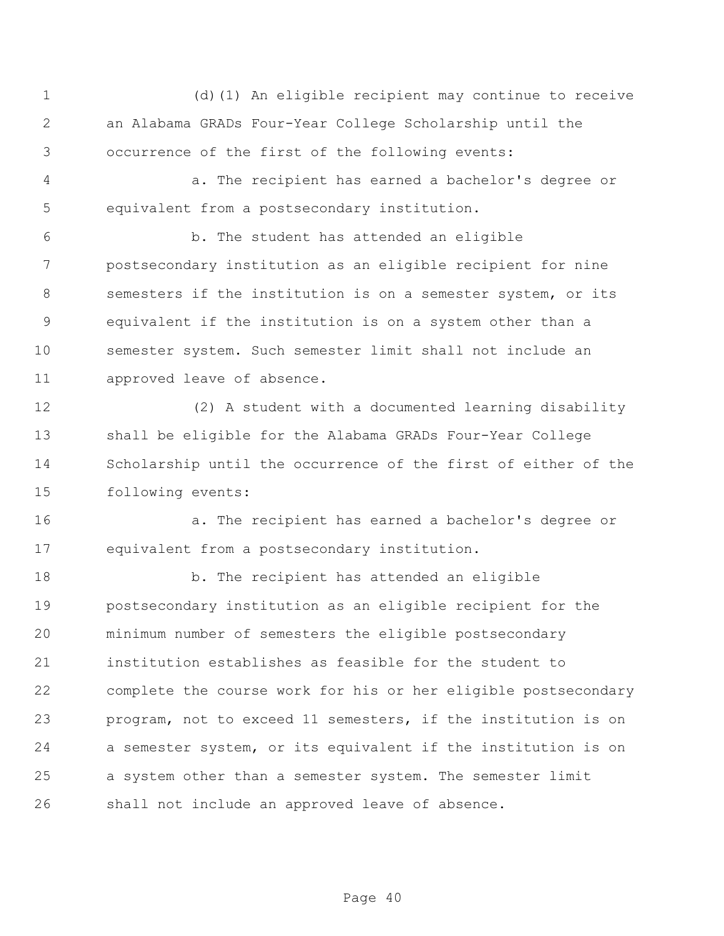(d)(1) An eligible recipient may continue to receive an Alabama GRADs Four-Year College Scholarship until the occurrence of the first of the following events:

 a. The recipient has earned a bachelor's degree or equivalent from a postsecondary institution.

 b. The student has attended an eligible postsecondary institution as an eligible recipient for nine semesters if the institution is on a semester system, or its equivalent if the institution is on a system other than a semester system. Such semester limit shall not include an approved leave of absence.

 (2) A student with a documented learning disability shall be eligible for the Alabama GRADs Four-Year College Scholarship until the occurrence of the first of either of the following events:

 a. The recipient has earned a bachelor's degree or equivalent from a postsecondary institution.

18 b. The recipient has attended an eligible postsecondary institution as an eligible recipient for the minimum number of semesters the eligible postsecondary institution establishes as feasible for the student to complete the course work for his or her eligible postsecondary program, not to exceed 11 semesters, if the institution is on a semester system, or its equivalent if the institution is on a system other than a semester system. The semester limit shall not include an approved leave of absence.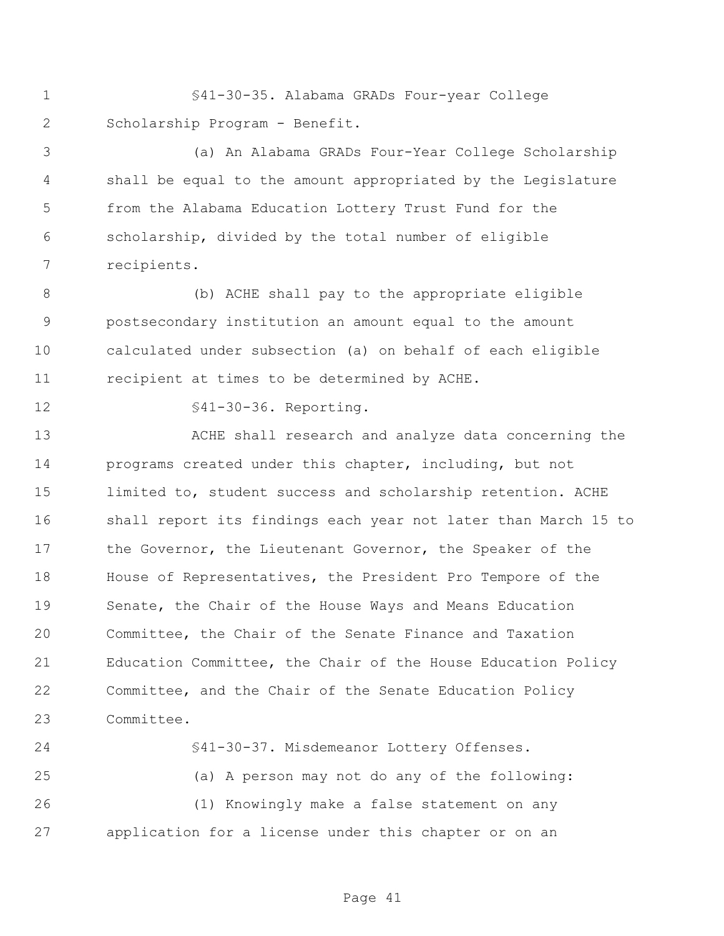§41-30-35. Alabama GRADs Four-year College Scholarship Program - Benefit.

 (a) An Alabama GRADs Four-Year College Scholarship shall be equal to the amount appropriated by the Legislature from the Alabama Education Lottery Trust Fund for the scholarship, divided by the total number of eligible recipients.

 (b) ACHE shall pay to the appropriate eligible postsecondary institution an amount equal to the amount calculated under subsection (a) on behalf of each eligible recipient at times to be determined by ACHE.

§41-30-36. Reporting.

 ACHE shall research and analyze data concerning the programs created under this chapter, including, but not limited to, student success and scholarship retention. ACHE shall report its findings each year not later than March 15 to 17 the Governor, the Lieutenant Governor, the Speaker of the House of Representatives, the President Pro Tempore of the Senate, the Chair of the House Ways and Means Education Committee, the Chair of the Senate Finance and Taxation Education Committee, the Chair of the House Education Policy Committee, and the Chair of the Senate Education Policy Committee.

 §41-30-37. Misdemeanor Lottery Offenses. (a) A person may not do any of the following: (1) Knowingly make a false statement on any application for a license under this chapter or on an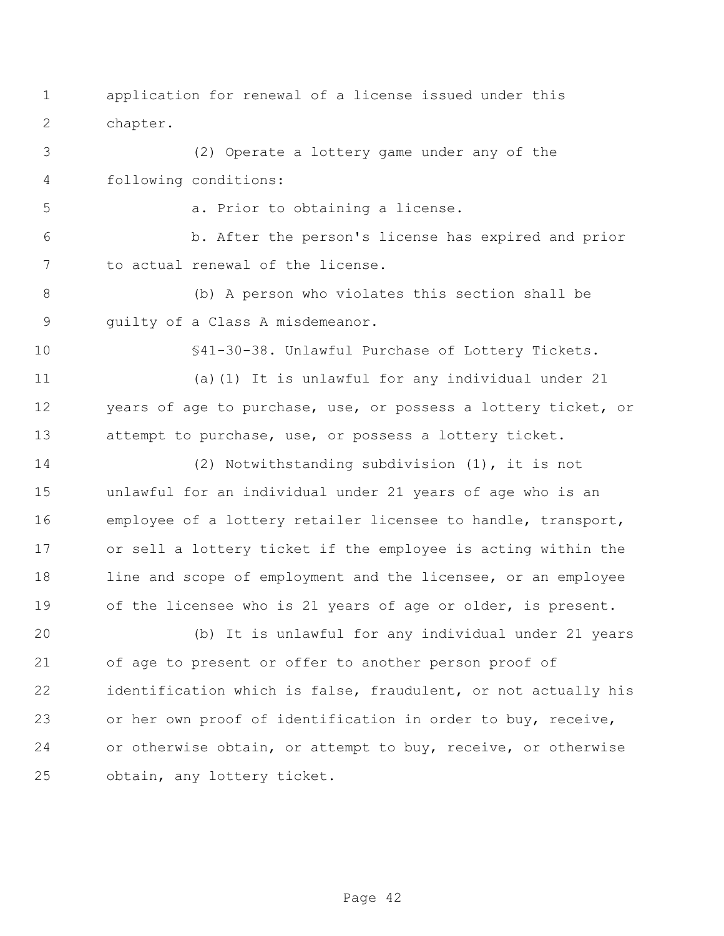- application for renewal of a license issued under this chapter.
- (2) Operate a lottery game under any of the following conditions:

a. Prior to obtaining a license.

 b. After the person's license has expired and prior to actual renewal of the license.

 (b) A person who violates this section shall be guilty of a Class A misdemeanor.

§41-30-38. Unlawful Purchase of Lottery Tickets.

 (a)(1) It is unlawful for any individual under 21 years of age to purchase, use, or possess a lottery ticket, or attempt to purchase, use, or possess a lottery ticket.

 (2) Notwithstanding subdivision (1), it is not unlawful for an individual under 21 years of age who is an employee of a lottery retailer licensee to handle, transport, or sell a lottery ticket if the employee is acting within the 18 line and scope of employment and the licensee, or an employee of the licensee who is 21 years of age or older, is present.

 (b) It is unlawful for any individual under 21 years of age to present or offer to another person proof of identification which is false, fraudulent, or not actually his or her own proof of identification in order to buy, receive, or otherwise obtain, or attempt to buy, receive, or otherwise obtain, any lottery ticket.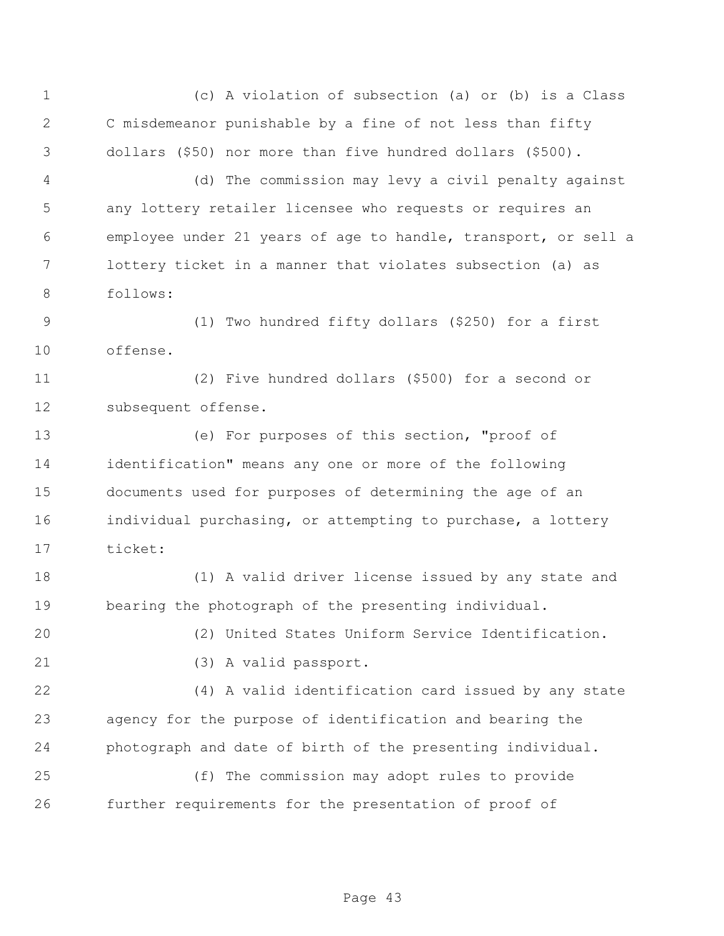(c) A violation of subsection (a) or (b) is a Class C misdemeanor punishable by a fine of not less than fifty dollars (\$50) nor more than five hundred dollars (\$500). (d) The commission may levy a civil penalty against any lottery retailer licensee who requests or requires an employee under 21 years of age to handle, transport, or sell a lottery ticket in a manner that violates subsection (a) as follows: (1) Two hundred fifty dollars (\$250) for a first offense. (2) Five hundred dollars (\$500) for a second or subsequent offense. (e) For purposes of this section, "proof of identification" means any one or more of the following documents used for purposes of determining the age of an individual purchasing, or attempting to purchase, a lottery ticket: (1) A valid driver license issued by any state and bearing the photograph of the presenting individual.

(2) United States Uniform Service Identification.

(3) A valid passport.

 (4) A valid identification card issued by any state agency for the purpose of identification and bearing the photograph and date of birth of the presenting individual.

 (f) The commission may adopt rules to provide further requirements for the presentation of proof of